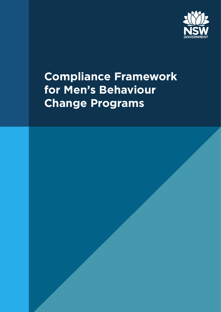

# **Compliance Framework for Men's Behaviour Change Programs**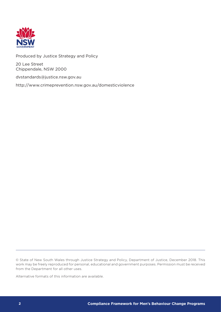

#### Produced by Justice Strategy and Policy

20 Lee Street Chippendale, NSW 2000

dvstandards@justice.nsw.gov.au

http://www.crimeprevention.nsw.gov.au/domesticviolence

© State of New South Wales through Justice Strategy and Policy, Department of Justice, December 2018. This work may be freely reproduced for personal, educational and government purposes. Permission must be received from the Department for all other uses.

Alternative formats of this information are available.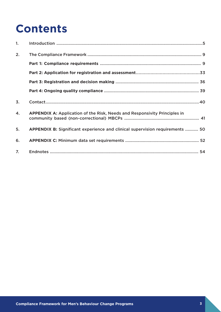# **Contents**

| 1. |                                                                                  |
|----|----------------------------------------------------------------------------------|
| 2. |                                                                                  |
|    |                                                                                  |
|    |                                                                                  |
|    |                                                                                  |
|    |                                                                                  |
| 3. |                                                                                  |
| 4. | <b>APPENDIX A: Application of the Risk, Needs and Responsivity Principles in</b> |
| 5. | APPENDIX B: Significant experience and clinical supervision requirements  50     |
| 6. |                                                                                  |
| 7. |                                                                                  |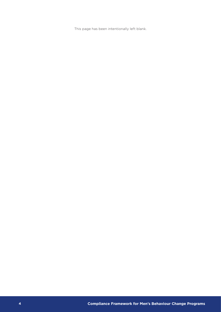This page has been intentionally left blank.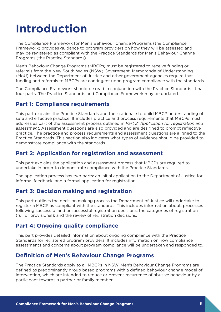## **Introduction**

The Compliance Framework for Men's Behaviour Change Programs (the Compliance Framework) provides guidance to program providers on how they will be assessed and may be registered as compliant with the Practice Standards for Men's Behaviour Change Programs (the Practice Standards).

Men's Behaviour Change Programs (MBCPs) must be registered to receive funding or referrals from the New South Wales (NSW) Government. Memoranda of Understanding (MoU) between the Department of Justice and other government agencies require that funding and referrals to MBCPs are contingent upon program compliance with the standards.

The Compliance Framework should be read in conjunction with the Practice Standards. It has four parts. The Practice Standards and Compliance Framework may be updated.

## **Part 1: Compliance requirements**

This part explains the Practice Standards and their rationale to build MBCP understanding of safe and effective practice. It includes practice and process requirements that MBCPs must address as part of the assessment process outlined in *Part 2: Application for registration and assessment*. Assessment questions are also provided and are designed to prompt reflective practice. The practice and process requirements and assessment questions are aligned to the Practice Standards. This section also indicates what types of evidence should be provided to demonstrate compliance with the standards.

## **Part 2: Application for registration and assessment**

This part explains the application and assessment process that MBCPs are required to undertake in order to demonstrate compliance with the Practice Standards.

The application process has two parts: an initial application to the Department of Justice for informal feedback; and a formal application for registration.

## **Part 3: Decision making and registration**

This part outlines the decision making process the Department of Justice will undertake to register a MBCP as compliant with the standards. This includes information about: processes following successful and unsuccessful registration decisions; the categories of registration (full or provisional); and the review of registration decisions.

## **Part 4: Ongoing quality compliance**

This part provides detailed information about ongoing compliance with the Practice Standards for registered program providers. It includes information on how compliance assessments and concerns about program compliance will be undertaken and responded to.

## **Definition of Men's Behaviour Change Programs**

The Practice Standards apply to all MBCPs in NSW. Men's Behaviour Change Programs are defined as predominantly group based programs with a defined behaviour change model of intervention, which are intended to reduce or prevent recurrence of abusive behaviour by a participant towards a partner or family member.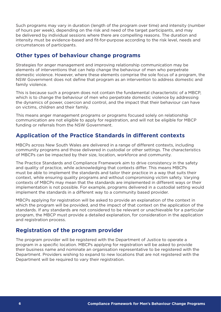Such programs may vary in duration (length of the program over time) and intensity (number of hours per week), depending on the risk and need of the target participants, and may be delivered by individual sessions where there are compelling reasons. The duration and intensity must be evidence-based and fit-for-purpose according to the risk level, needs and circumstances of participants.

## **Other types of behaviour change programs**

Strategies for anger management and improving relationship communication may be elements of interventions that can help change the behaviour of men who perpetrate domestic violence. However, where these elements comprise the sole focus of a program, the NSW Government does not define that program as an intervention to address domestic and family violence.

This is because such a program does not contain the fundamental characteristic of a MBCP, which is to change the behaviour of men who perpetrate domestic violence by addressing the dynamics of power, coercion and control, and the impact that their behaviour can have on victims, children and their family.

This means anger management programs or programs focused solely on relationship communication are not eligible to apply for registration, and will not be eligible for MBCP funding or referrals from the NSW Government.

## **Application of the Practice Standards in different contexts**

MBCPs across New South Wales are delivered in a range of different contexts, including community programs and those delivered in custodial or other settings. The characteristics of MBCPs can be impacted by their size, location, workforce and community.

The Practice Standards and Compliance Framework aim to drive consistency in the safety and quality of practice, while acknowledging that contexts differ. This means MBCPs must be able to implement the standards and tailor their practice in a way that suits their context, while ensuring quality programs and without compromising victim safety. Varying contexts of MBCPs may mean that the standards are implemented in different ways or their implementation is not possible. For example, programs delivered in a custodial setting would implement the standards in a different way to a community based provider.

MBCPs applying for registration will be asked to provide an explanation of the context in which the program will be provided, and the impact of that context on the application of the standards. If any standards are not considered to be relevant or unachievable for a particular program, the MBCP must provide a detailed explanation, for consideration in the application and registration process.

## **Registration of the program provider**

The program provider will be registered with the Department of Justice to operate a program in a specific location. MBCPs applying for registration will be asked to provide their business name and nominate an organisation representative to be registered with the Department. Providers wishing to expand to new locations that are not registered with the Department will be required to vary their registration.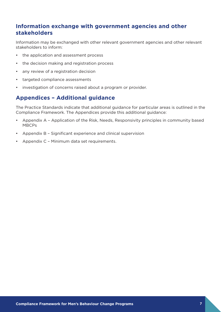## **Information exchange with government agencies and other stakeholders**

Information may be exchanged with other relevant government agencies and other relevant stakeholders to inform:

- the application and assessment process
- the decision making and registration process
- any review of a registration decision
- targeted compliance assessments
- investigation of concerns raised about a program or provider.

## **Appendices – Additional guidance**

The Practice Standards indicate that additional guidance for particular areas is outlined in the Compliance Framework. The Appendices provide this additional guidance:

- Appendix A Application of the Risk, Needs, Responsivity principles in community based MBCPs
- Appendix B Significant experience and clinical supervision
- Appendix C Minimum data set requirements.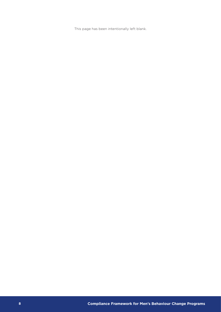This page has been intentionally left blank.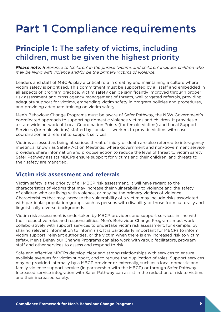# Part 1 Compliance requirements

## **Principle 1:** The safety of victims, including children, must be given the highest priority

*Please note: Reference to 'children' in the phrase 'victims and children' includes children who may be living with violence and/or be the primary victims of violence.*

Leaders and staff of MBCPs play a critical role in creating and maintaining a culture where victim safety is prioritised. This commitment must be supported by all staff and embedded in all aspects of program practice. Victim safety can be significantly improved through proper risk assessment and cross agency management of threats, well targeted referrals, providing adequate support for victims, embedding victim safety in program policies and procedures, and providing adequate training on victim safety.

Men's Behaviour Change Programs must be aware of Safer Pathway, the NSW Government's coordinated approach to supporting domestic violence victims and children. It provides a a state wide network of Local Coordination Points (for female victims) and Local Support Services (for male victims) staffed by specialist workers to provide victims with case coordination and referral to support services.

Victims assessed as being at serious threat of injury or death are also referred to interagency meetings, known as Safety Action Meetings, where government and non-government service providers share information and propose action to reduce the level of threat to victim safety. Safer Pathway assists MBCPs ensure support for victims and their children, and threats to their safety are managed.

## **Victim risk assessment and referrals**

Victim safety is the priority of all MBCP risk assessment. It will have regard to the characteristics of victims that may increase their vulnerability to violence and the safety of children who are living with violence, or may be the primary victims of violence. Characteristics that may increase the vulnerability of a victim may include risks associated with particular population groups such as persons with disability or those from culturally and linguistically diverse backgrounds.

Victim risk assessment is undertaken by MBCP providers and support services in line with their respective roles and responsibilities. Men's Behaviour Change Programs must work collaboratively with support services to undertake victim risk assessment, for example, by sharing relevant information to inform risk. It is particularly important for MBCPs to inform victim support, relevant authorities, or the victim when there is any increased risk to victim safety. Men's Behaviour Change Programs can also work with group facilitators, program staff and other services to assess and respond to risk.

Safe and effective MBCPs develop clear and strong relationships with services to ensure available avenues for victim support, and to reduce the duplication of roles. Support services may be provided internally by a MBCP provider or externally, such as a local domestic and family violence support service (in partnership with the MBCP) or through Safer Pathway. Increased service integration with Safer Pathway can assist in the reduction of risk to victims and their increased safety.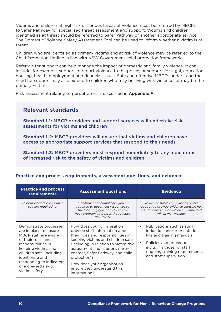Victims and children at high risk or serious threat of violence must be referred by MBCPs to Safer Pathway for specialised threat assessment and support. Victims and children identified as at threat should be referred to Safer Pathway or another appropriate service. The Domestic Violence Safety Assessment Tool can be used to inform whether a victim is at threat.

Children who are identified as primary victims and at risk of violence may be referred to the Child Protection Hotline in line with NSW Government child protection frameworks.

Referrals for support can help manage the impact of domestic and family violence. It can include, for example, support to report violence to the police, or support for legal, education, housing, health, employment and financial issues. Safe and effective MBCPs understand the need for support may also extend to children who may be living with violence, or may be the primary victim.

Risk assessment relating to perpetrators is discussed in **Appendix A**.

## **Relevant standards**

**Standard 1.1:** MBCP providers and support services will undertake risk assessments for victims and children

**Standard 1.2:** MBCP providers will ensure that victims and children have access to appropriate support services that respond to their needs

**Standard 1.3:** MBCP providers must respond immediately to any indications of increased risk to the safety of victims and children

| <b>Practice and process</b><br><b>requirements</b>                                                                                                                                                                                                              | <b>Assessment questions</b>                                                                                                                                                                                                                                                                                                                              | <b>Evidence</b>                                                                                                                                                                                                             |
|-----------------------------------------------------------------------------------------------------------------------------------------------------------------------------------------------------------------------------------------------------------------|----------------------------------------------------------------------------------------------------------------------------------------------------------------------------------------------------------------------------------------------------------------------------------------------------------------------------------------------------------|-----------------------------------------------------------------------------------------------------------------------------------------------------------------------------------------------------------------------------|
| To demonstrate compliance<br>you are required to:                                                                                                                                                                                                               | To demonstrate compliance you are<br>required to document responses to<br>the following questions to ensure<br>your program addresses the Practice<br>Standards:                                                                                                                                                                                         | To demonstrate compliance you are<br>required to provide evidence showing how<br>the standards are or will be implemented,<br>which may include:                                                                            |
| Demonstrate processes<br>are in place to ensure<br>MBCP staff are aware<br>of their roles and<br>responsibilities in<br>keeping victims and<br>children safe, including<br>identifying and<br>responding to indicators<br>of increased risk to<br>victim safety | How does your organisation<br>provide staff information about<br>their roles and responsibilities in<br>keeping victims and children safe<br>(including in relation to victim risk)<br>assessment and support, partner<br>contact, Safer Pathway, and child<br>protection)?<br>How does your organisation<br>ensure they understand this<br>information? | Publications such as staff<br>٠<br>induction and/or orientation<br>kits and training manuals<br>Policies and procedures<br>$\bullet$<br>including those for staff<br>ongoing training requirements<br>and staff supervision |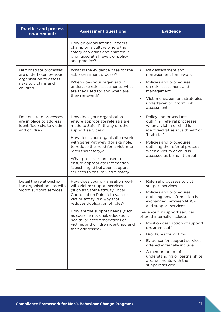| <b>Practice and process</b><br>requirements                                                                   | <b>Assessment questions</b>                                                                                                                                                                                                                                                                                                                                                                     | <b>Evidence</b>                                                                                                                                                                                                                                                                                                                                                                                                                                                                                                                                    |
|---------------------------------------------------------------------------------------------------------------|-------------------------------------------------------------------------------------------------------------------------------------------------------------------------------------------------------------------------------------------------------------------------------------------------------------------------------------------------------------------------------------------------|----------------------------------------------------------------------------------------------------------------------------------------------------------------------------------------------------------------------------------------------------------------------------------------------------------------------------------------------------------------------------------------------------------------------------------------------------------------------------------------------------------------------------------------------------|
|                                                                                                               | How do organisational leaders<br>champion a culture where the<br>safety of victims and children is<br>prioritised at all levels of policy<br>and practice?                                                                                                                                                                                                                                      |                                                                                                                                                                                                                                                                                                                                                                                                                                                                                                                                                    |
| Demonstrate processes<br>are undertaken by your<br>organisation to assess<br>risks to victims and<br>children | What is the evidence base for the<br>risk assessment process?<br>When does your organisation<br>undertake risk assessments, what<br>are they used for and when are<br>they reviewed?                                                                                                                                                                                                            | Risk assessment and<br>$\bullet$<br>management framework<br>Policies and procedures<br>$\bullet$<br>on risk assessment and<br>management<br>Victim engagement strategies<br>$\bullet$<br>undertaken to inform risk<br>assessment                                                                                                                                                                                                                                                                                                                   |
| Demonstrate processes<br>are in place to address<br>identified risks to victims<br>and children               | How does your organisation<br>ensure appropriate referrals are<br>made to Safer Pathway or other<br>support services?<br>How does your organisation work<br>with Safer Pathway (for example,<br>to reduce the need for a victim to<br>retell their story)?<br>What processes are used to<br>ensure appropriate information<br>is exchanged between support<br>services to ensure victim safety? | Policy and procedures<br>$\bullet$<br>outlining referral processes<br>when a victim or child is<br>identified 'at serious threat' or<br>'high risk'<br>Policies and procedures<br>$\bullet$<br>outlining the referral process<br>when a victim or child is<br>assessed as being at threat                                                                                                                                                                                                                                                          |
| Detail the relationship<br>the organisation has with<br>victim support services                               | How does your organisation work<br>with victim support services<br>(such as Safer Pathway Local<br>Coordination Points) to support<br>victim safety in a way that<br>reduces duplication of roles?<br>How are the support needs (such<br>as social, emotional, education,<br>health, or accommodation) of<br>victims and children identified and<br>then addressed?                             | Referral processes to victim<br>$\bullet$<br>support services<br>Policies and procedures<br>outlining how information is<br>exchanged between MBCP<br>and support services<br>Evidence for support services<br>offered internally include:<br>Position description of support<br>$\bullet$<br>program staff<br><b>Brochures for victims</b><br>$\bullet$<br>Evidence for support services<br>$\bullet$<br>offered externally include:<br>A memorandum of<br>$\bullet$<br>understanding or partnerships<br>arrangements with the<br>support service |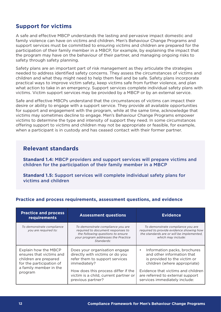## **Support for victims**

A safe and effective MBCP understands the lasting and pervasive impact domestic and family violence can have on victims and children. Men's Behaviour Change Programs and support services must be committed to ensuring victims and children are prepared for the participation of their family member in a MBCP, for example, by explaining the impact that the program may have on the behaviour of their partner, and managing ongoing risks to safety through safety planning.

Safety plans are an important part of risk management as they articulate the strategies needed to address identified safety concerns. They assess the circumstances of victims and children and what they might need to help them feel and be safe. Safety plans incorporate practical ways to improve victim safety, keep victims safe from further violence, and plan what action to take in an emergency. Support services complete individual safety plans with victims. Victim support services may be provided by a MBCP or by an external service.

Safe and effective MBCPs understand that the circumstances of victims can impact their desire or ability to engage with a support service. They provide all available opportunities for support and engagement with the program, while at the same time, acknowledge that victims may sometimes decline to engage. Men's Behaviour Change Programs empower victims to determine the type and intensity of support they need. In some circumstances offering support to victims and children may not be appropriate or feasible, for example, when a participant is in custody and has ceased contact with their former partner.

## **Relevant standards**

**Standard 1.4:** MBCP providers and support services will prepare victims and children for the participation of their family member in a MBCP

**Standard 1.5:** Support services will complete individual safety plans for victims and children

| Practice and process requirements, assessment questions, and evidence |  |  |  |  |  |  |  |
|-----------------------------------------------------------------------|--|--|--|--|--|--|--|
|-----------------------------------------------------------------------|--|--|--|--|--|--|--|

| <b>Practice and process</b><br><b>requirements</b>                                                                              | <b>Assessment questions</b>                                                                                                                                      | <b>Evidence</b>                                                                                                                                                  |
|---------------------------------------------------------------------------------------------------------------------------------|------------------------------------------------------------------------------------------------------------------------------------------------------------------|------------------------------------------------------------------------------------------------------------------------------------------------------------------|
| To demonstrate compliance<br>you are required to:                                                                               | To demonstrate compliance you are<br>required to document responses to<br>the following questions to ensure<br>your program addresses the Practice<br>Standards: | To demonstrate compliance you are<br>required to provide evidence showing how<br>the standards are or will be implemented.<br>which may include:                 |
| Explain how the MBCP<br>ensures that victims and<br>children are prepared<br>for the participation of<br>a family member in the | Does your organisation engage<br>directly with victims or do you<br>refer them to support services<br>immediately?<br>How does this process differ if the        | Information packs, brochures<br>and other information that<br>is provided to the victim or<br>children (where appropriate)<br>Evidence that victims and children |
| program                                                                                                                         | victim is a child, current partner or<br>previous partner?                                                                                                       | are referred to external support<br>services immediately include:                                                                                                |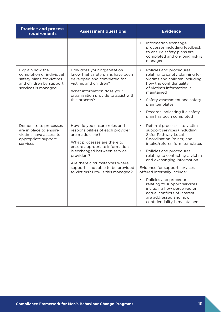| <b>Practice and process</b><br>requirements                                                                               | <b>Assessment questions</b>                                                                                                                                                                                                                                                                                   | <b>Evidence</b>                                                                                                                                                                                                                                                                                                                                                                                                                                                                                                                        |
|---------------------------------------------------------------------------------------------------------------------------|---------------------------------------------------------------------------------------------------------------------------------------------------------------------------------------------------------------------------------------------------------------------------------------------------------------|----------------------------------------------------------------------------------------------------------------------------------------------------------------------------------------------------------------------------------------------------------------------------------------------------------------------------------------------------------------------------------------------------------------------------------------------------------------------------------------------------------------------------------------|
|                                                                                                                           |                                                                                                                                                                                                                                                                                                               | Information exchange<br>$\bullet$<br>processes including feedback<br>to ensure safety plans are<br>completed and ongoing risk is<br>managed                                                                                                                                                                                                                                                                                                                                                                                            |
| Explain how the<br>completion of individual<br>safety plans for victims<br>and children by support<br>services is managed | How does your organisation<br>know that safety plans have been<br>developed and completed for<br>victims and children?<br>What information does your<br>organisation provide to assist with<br>this process?                                                                                                  | Policies and procedures<br>$\bullet$<br>relating to safety planning for<br>victims and children including<br>how the confidentiality<br>of victim's information is<br>maintained<br>Safety assessment and safety<br>$\bullet$<br>plan templates<br>Records indicating if a safety<br>$\bullet$<br>plan has been completed                                                                                                                                                                                                              |
| Demonstrate processes<br>are in place to ensure<br>victims have access to<br>appropriate support<br>services              | How do you ensure roles and<br>responsibilities of each provider<br>are made clear?<br>What processes are there to<br>ensure appropriate information<br>is exchanged between service<br>providers?<br>Are there circumstances where<br>support is not able to be provided<br>to victims? How is this managed? | Referral processes to victim<br>$\bullet$<br>support services (including<br>Safer Pathway Local<br>Coordination Points) and<br>intake/referral form templates<br>Policies and procedures<br>$\bullet$<br>relating to contacting a victim<br>and exchanging information<br>Evidence for support services<br>offered internally include:<br>Policies and procedures<br>$\bullet$<br>relating to support services<br>including how perceived or<br>actual conflicts of interest<br>are addressed and how<br>confidentiality is maintained |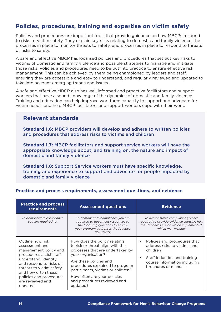## **Policies, procedures, training and expertise on victim safety**

Policies and procedures are important tools that provide guidance on how MBCPs respond to risks to victim safety. They explain key risks relating to domestic and family violence, the processes in place to monitor threats to safety, and processes in place to respond to threats or risks to safety.

A safe and effective MBCP has localised policies and procedures that set out key risks to victims of domestic and family violence and possible strategies to manage and mitigate those risks. Policies and procedures need to be put into practice to ensure effective risk management. This can be achieved by them being championed by leaders and staff, ensuring they are accessible and easy to understand, and regularly reviewed and updated to take into account emerging trends and issues.

A safe and effective MBCP also has well informed and proactive facilitators and support workers that have a sound knowledge of the dynamics of domestic and family violence. Training and education can help improve workforce capacity to support and advocate for victim needs, and help MBCP facilitators and support workers cope with their work.

## **Relevant standards**

**Standard 1.6:** MBCP providers will develop and adhere to written policies and procedures that address risks to victims and children

**Standard 1.7:** MBCP facilitators and support service workers will have the appropriate knowledge about, and training on, the nature and impact of domestic and family violence

**Standard 1.8:** Support Service workers must have specific knowledge, training and experience to support and advocate for people impacted by domestic and family violence

| <b>Practice and process</b><br><b>requirements</b>                                                                                                                                                                                                     | <b>Assessment questions</b>                                                                                                                                                                                                                                                                             | <b>Evidence</b>                                                                                                                                                  |
|--------------------------------------------------------------------------------------------------------------------------------------------------------------------------------------------------------------------------------------------------------|---------------------------------------------------------------------------------------------------------------------------------------------------------------------------------------------------------------------------------------------------------------------------------------------------------|------------------------------------------------------------------------------------------------------------------------------------------------------------------|
| To demonstrate compliance<br>you are required to:                                                                                                                                                                                                      | To demonstrate compliance you are<br>required to document responses to<br>the following questions to ensure<br>your program addresses the Practice<br>Standards:                                                                                                                                        | To demonstrate compliance you are<br>required to provide evidence showing how<br>the standards are or will be implemented,<br>which may include:                 |
| Outline how risk<br>assessment and<br>management policy and<br>procedures assist staff<br>understand, identify<br>and respond to risks or<br>threats to victim safety<br>and how often these<br>policies and procedures<br>are reviewed and<br>updated | How does the policy relating<br>to risk or threat align with the<br>processes that are undertaken by<br>your organisation?<br>Are these policies and<br>procedures explained to program<br>participants, victims or children?<br>How often are your policies<br>and procedures reviewed and<br>updated? | Policies and procedures that<br>address risks to victims and<br>children<br>Staff induction and training<br>course information including<br>brochures or manuals |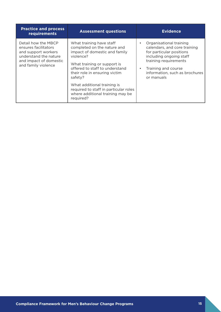| <b>Practice and process</b><br>requirements                                                                                                  | <b>Assessment questions</b>                                                                                                                                                                                                                                                                                                                 | <b>Evidence</b>                                                                                                                                                                                                |
|----------------------------------------------------------------------------------------------------------------------------------------------|---------------------------------------------------------------------------------------------------------------------------------------------------------------------------------------------------------------------------------------------------------------------------------------------------------------------------------------------|----------------------------------------------------------------------------------------------------------------------------------------------------------------------------------------------------------------|
| Detail how the MBCP<br>ensures facilitators<br>and support workers<br>understand the nature<br>and impact of domestic<br>and family violence | What training have staff<br>completed on the nature and<br>impact of domestic and family<br>violence?<br>What training or support is<br>offered to staff to understand<br>their role in ensuring victim<br>safety?<br>What additional training is<br>required to staff in particular roles<br>where additional training may be<br>required? | Organisational training<br>calendars, and core training<br>for particular positions<br>including ongoing staff<br>training requirements<br>Training and course<br>information, such as brochures<br>or manuals |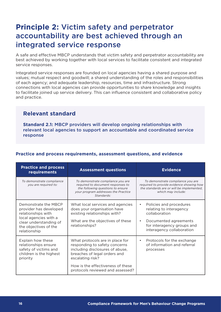## **Principle 2:** Victim safety and perpetrator accountability are best achieved through an integrated service response

A safe and effective MBCP understands that victim safety and perpetrator accountability are best achieved by working together with local services to facilitate consistent and integrated service responses.

Integrated service responses are founded on local agencies having a shared purpose and values; mutual respect and goodwill; a shared understanding of the roles and responsibilities of each agency; and adequate leadership, resources, time and infrastructure. Strong connections with local agencies can provide opportunities to share knowledge and insights to facilitate joined up service delivery. This can influence consistent and collaborative policy and practice.

## **Relevant standard**

**Standard 2.1:** MBCP providers will develop ongoing relationships with relevant local agencies to support an accountable and coordinated service response

| <b>Practice and process</b><br>requirements                                                                                                                      | <b>Assessment questions</b>                                                                                                                                                                                                      | <b>Evidence</b>                                                                                                                                                                   |
|------------------------------------------------------------------------------------------------------------------------------------------------------------------|----------------------------------------------------------------------------------------------------------------------------------------------------------------------------------------------------------------------------------|-----------------------------------------------------------------------------------------------------------------------------------------------------------------------------------|
| To demonstrate compliance<br>you are required to:                                                                                                                | To demonstrate compliance you are<br>required to document responses to<br>the following questions to ensure<br>your program addresses the Practice<br>Standards:                                                                 | To demonstrate compliance you are<br>required to provide evidence showing how<br>the standards are or will be implemented,<br>which may include:                                  |
| Demonstrate the MBCP<br>provider has developed<br>relationships with<br>local agencies with a<br>clear understanding of<br>the objectives of the<br>relationship | What local services and agencies<br>does your organisation have<br>existing relationships with?<br>What are the objectives of these<br>relationships?                                                                            | Policies and procedures<br>$\bullet$<br>relating to interagency<br>collaboration<br>Documented agreements<br>$\bullet$<br>for interagency groups and<br>interagency collaboration |
| Explain how these<br>relationships ensure<br>safety of victims and<br>children is the highest<br>priority                                                        | What protocols are in place for<br>responding to safety concerns<br>including disclosures of abuse,<br>breaches of legal orders and<br>escalating risk?<br>How is the effectiveness of these<br>protocols reviewed and assessed? | Protocols for the exchange<br>$\bullet$<br>of information and referral<br>processes                                                                                               |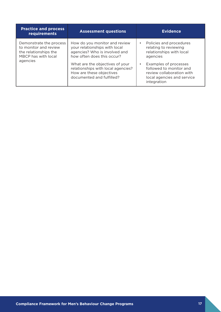| <b>Practice and process</b><br><b>requirements</b>                                                           | <b>Assessment questions</b>                                                                                                                                                                                                                                     | <b>Evidence</b>                                                                                                                                                                                                        |
|--------------------------------------------------------------------------------------------------------------|-----------------------------------------------------------------------------------------------------------------------------------------------------------------------------------------------------------------------------------------------------------------|------------------------------------------------------------------------------------------------------------------------------------------------------------------------------------------------------------------------|
| Demonstrate the process<br>to monitor and review<br>the relationships the<br>MBCP has with local<br>agencies | How do you monitor and review<br>your relationships with local<br>agencies? Who is involved and<br>how often does this occur?<br>What are the objectives of your<br>relationships with local agencies?<br>How are these objectives<br>documented and fulfilled? | Policies and procedures<br>relating to reviewing<br>relationships with local<br>agencies<br>Examples of processes<br>followed to monitor and<br>review collaboration with<br>local agencies and service<br>integration |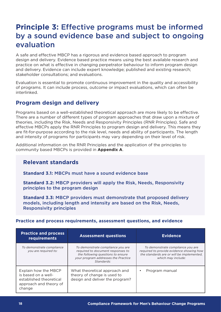## **Principle 3:** Effective programs must be informed by a sound evidence base and subject to ongoing evaluation

A safe and effective MBCP has a rigorous and evidence based approach to program design and delivery. Evidence based practice means using the best available research and practice on what is effective in changing perpetrator behaviour to inform program design and delivery. Evidence can include expert knowledge; published and existing research; stakeholder consultations; and evaluations.

Evaluation is essential to promote continuous improvement in the quality and accessibility of programs. It can include process, outcome or impact evaluations, which can often be interlinked.

## **Program design and delivery**

Programs based on a well-established theoretical approach are more likely to be effective. There are a number of different types of program approaches that draw upon a mixture of theories, including the Risk, Needs and Responsivity Principles (RNR Principles). Safe and effective MBCPs apply the RNR Principles to program design and delivery. This means they are fit-for-purpose according to the risk level, needs and ability of participants. The length and intensity of programs for participants may vary depending on their level of risk.

Additional information on the RNR Principles and the application of the principles to community based MBCPs is provided in **Appendix A**.

## **Relevant standards**

**Standard 3.1:** MBCPs must have a sound evidence base

**Standard 3.2:** MBCP providers will apply the Risk, Needs, Responsivity principles to the program design

**Standard 3.3:** MBCP providers must demonstrate that proposed delivery models, including length and intensity are based on the Risk, Needs, Responsivity principles

| <b>Practice and process</b><br><b>requirements</b>                                                         | <b>Assessment questions</b>                                                                                                                                      | <b>Evidence</b>                                                                                                                                  |
|------------------------------------------------------------------------------------------------------------|------------------------------------------------------------------------------------------------------------------------------------------------------------------|--------------------------------------------------------------------------------------------------------------------------------------------------|
| To demonstrate compliance<br>you are required to:                                                          | To demonstrate compliance you are<br>required to document responses to<br>the following questions to ensure<br>your program addresses the Practice<br>Standards: | To demonstrate compliance you are<br>required to provide evidence showing how<br>the standards are or will be implemented.<br>which may include: |
| Explain how the MBCP<br>is based on a well-<br>established theoretical<br>approach and theory of<br>change | What theoretical approach and<br>theory of change is used to<br>design and deliver the program?                                                                  | Program manual                                                                                                                                   |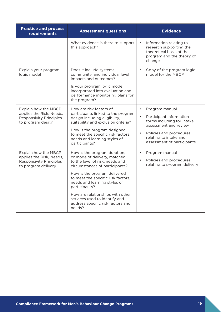| <b>Practice and process</b><br>requirements                                                               | <b>Assessment questions</b>                                                                                                                                                                                                                                                                                                                                                  | <b>Evidence</b>                                                                                                                                                                                                |  |  |
|-----------------------------------------------------------------------------------------------------------|------------------------------------------------------------------------------------------------------------------------------------------------------------------------------------------------------------------------------------------------------------------------------------------------------------------------------------------------------------------------------|----------------------------------------------------------------------------------------------------------------------------------------------------------------------------------------------------------------|--|--|
|                                                                                                           | What evidence is there to support<br>this approach?                                                                                                                                                                                                                                                                                                                          | Information relating to<br>$\bullet$<br>research supporting the<br>theoretical basis of the<br>program and the theory of<br>change                                                                             |  |  |
| Explain your program<br>logic model                                                                       | Does it include systems,<br>community, and individual level<br>impacts and outcomes?<br>Is your program logic model<br>incorporated into evaluation and<br>performance monitoring plans for<br>the program?                                                                                                                                                                  | Copy of the program logic<br>model for the MBCP                                                                                                                                                                |  |  |
| Explain how the MBCP<br>applies the Risk, Needs,<br><b>Responsivity Principles</b><br>to program design   | How are risk factors of<br>participants linked to the program<br>design including eligibility,<br>suitability and exclusion criteria?<br>How is the program designed<br>to meet the specific risk factors,<br>needs and learning styles of<br>participants?                                                                                                                  | Program manual<br>$\bullet$<br>Participant information<br>$\bullet$<br>forms including for intake,<br>assessment and review<br>Policies and procedures<br>relating to intake and<br>assessment of participants |  |  |
| Explain how the MBCP<br>applies the Risk, Needs,<br><b>Responsivity Principles</b><br>to program delivery | How is the program duration,<br>or mode of delivery, matched<br>to the level of risk, needs and<br>circumstances of participants?<br>How is the program delivered<br>to meet the specific risk factors,<br>needs and learning styles of<br>participants?<br>How are relationships with other<br>services used to identify and<br>address specific risk factors and<br>needs? | Program manual<br>$\bullet$<br>Policies and procedures<br>relating to program delivery                                                                                                                         |  |  |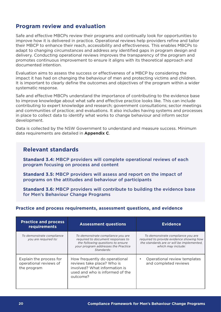## **Program review and evaluation**

Safe and effective MBCPs review their programs and continually look for opportunities to improve how it is delivered in practice. Operational reviews help providers refine and tailor their MBCP to enhance their reach, accessibility and effectiveness. This enables MBCPs to adapt to changing circumstances and address any identified gaps in program design and delivery. Conducting operational reviews improves the transparency of the program and promotes continuous improvement to ensure it aligns with its theoretical approach and documented intention.

Evaluation aims to assess the success or effectiveness of a MBCP by considering the impact it has had on changing the behaviour of men and protecting victims and children. It is important to clearly define the outcomes and objectives of the program within a wider systematic response.

Safe and effective MBCPs understand the importance of contributing to the evidence base to improve knowledge about what safe and effective practice looks like. This can include contributing to expert knowledge and research; government consultations; sector meetings and communities of practice; and evaluations. It also includes having systems and processes in place to collect data to identify what works to change behaviour and inform sector development.

Data is collected by the NSW Government to understand and measure success. Minimum data requirements are detailed in **Appendix C**.

### **Relevant standards**

**Standard 3.4:** MBCP providers will complete operational reviews of each program focusing on process and content

**Standard 3.5:** MBCP providers will assess and report on the impact of programs on the attitudes and behaviour of participants

**Standard 3.6:** MBCP providers will contribute to building the evidence base for Men's Behaviour Change Programs

| <b>Practice and process</b><br><b>requirements</b>               | <b>Assessment questions</b>                                                                                                                                      | <b>Evidence</b>                                                                                                                                  |
|------------------------------------------------------------------|------------------------------------------------------------------------------------------------------------------------------------------------------------------|--------------------------------------------------------------------------------------------------------------------------------------------------|
| To demonstrate compliance<br>you are required to:                | To demonstrate compliance you are<br>required to document responses to<br>the following questions to ensure<br>your program addresses the Practice<br>Standards: | To demonstrate compliance you are<br>required to provide evidence showing how<br>the standards are or will be implemented.<br>which may include: |
| Explain the process for<br>operational reviews of<br>the program | How frequently do operational<br>reviews take place? Who is<br>involved? What information is<br>used and who is informed of the<br>outcome?                      | Operational review templates<br>and completed reviews                                                                                            |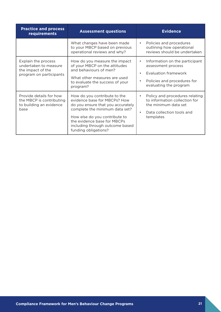| <b>Practice and process</b><br>requirements                                                  | <b>Assessment questions</b>                                                                                                                                                                                                                                    | <b>Evidence</b>                                                                                                                       |
|----------------------------------------------------------------------------------------------|----------------------------------------------------------------------------------------------------------------------------------------------------------------------------------------------------------------------------------------------------------------|---------------------------------------------------------------------------------------------------------------------------------------|
|                                                                                              | What changes have been made<br>to your MBCP based on previous<br>operational reviews and why?                                                                                                                                                                  | Policies and procedures<br>$\bullet$<br>outlining how operational<br>reviews should be undertaken                                     |
| Explain the process<br>undertaken to measure<br>the impact of the<br>program on participants | How do you measure the impact<br>of your MBCP on the attitudes<br>and behaviours of men?<br>What other measures are used<br>to evaluate the success of your<br>program?                                                                                        | Information on the participant<br>assessment process<br>Evaluation framework<br>Policies and procedures for<br>evaluating the program |
| Provide details for how<br>the MBCP is contributing<br>to building an evidence<br>base       | How do you contribute to the<br>evidence base for MBCPs? How<br>do you ensure that you accurately<br>complete the minimum data set?<br>How else do you contribute to<br>the evidence base for MBCPs<br>including through outcome based<br>funding obligations? | Policy and procedures relating<br>to information collection for<br>the minimum data set<br>Data collection tools and<br>templates     |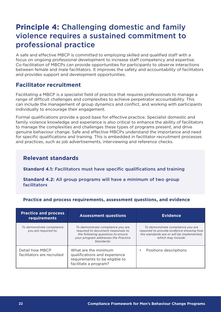## **Principle 4:** Challenging domestic and family violence requires a sustained commitment to professional practice

A safe and effective MBCP is committed to employing skilled and qualified staff with a focus on ongoing professional development to increase staff competency and expertise. Co-facilitation of MBCPs can provide opportunities for participants to observe interactions between female and male facilitators. It improves the safety and accountability of facilitators and provides support and development opportunities.

## **Facilitator recruitment**

Facilitating a MBCP is a specialist field of practice that requires professionals to manage a range of difficult challenges and complexities to achieve perpetrator accountability. This can include the management of group dynamics and conflict, and working with participants individually to encourage their engagement.

Formal qualifications provide a good base for effective practice. Specialist domestic and family violence knowledge and experience is also critical to enhance the ability of facilitators to manage the complexities and challenges these types of programs present, and drive genuine behaviour change. Safe and effective MBCPs understand the importance and need for specific qualifications and training. This is embedded in facilitator recruitment processes and practices, such as job advertisements, interviewing and reference checks.

## **Relevant standards**

**Standard 4.1:** Facilitators must have specific qualifications and training

**Standard 4.2:** All group programs will have a minimum of two group facilitators

|  | Practice and process requirements, assessment questions, and evidence |  |  |
|--|-----------------------------------------------------------------------|--|--|
|  |                                                                       |  |  |

| <b>Practice and process</b><br><b>requirements</b> | <b>Assessment questions</b>                                                                                                                                      | <b>Evidence</b>                                                                                                                                  |
|----------------------------------------------------|------------------------------------------------------------------------------------------------------------------------------------------------------------------|--------------------------------------------------------------------------------------------------------------------------------------------------|
| To demonstrate compliance<br>you are required to:  | To demonstrate compliance you are<br>required to document responses to<br>the following questions to ensure<br>your program addresses the Practice<br>Standards: | To demonstrate compliance you are<br>required to provide evidence showing how<br>the standards are or will be implemented.<br>which may include: |
| Detail how MBCP<br>facilitators are recruited      | What are the minimum<br>qualifications and experience<br>requirements to be eligible to<br>facilitate a program?                                                 | Positions descriptions                                                                                                                           |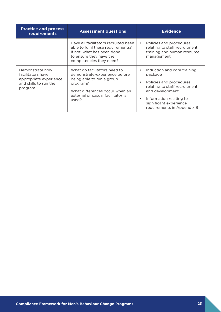| <b>Practice and process</b><br><b>requirements</b>                                                 | <b>Assessment questions</b>                                                                                                                                                            | <b>Evidence</b>                                                                                                                                                                                          |
|----------------------------------------------------------------------------------------------------|----------------------------------------------------------------------------------------------------------------------------------------------------------------------------------------|----------------------------------------------------------------------------------------------------------------------------------------------------------------------------------------------------------|
|                                                                                                    | Have all facilitators recruited been<br>able to fulfil these requirements?<br>If not, what has been done<br>to ensure they have the<br>competencies they need?                         | Policies and procedures<br>relating to staff recruitment,<br>training and human resource<br>management                                                                                                   |
| Demonstrate how<br>facilitators have<br>appropriate experience<br>and skills to run the<br>program | What do facilitators need to<br>demonstrate/experience before<br>being able to run a group<br>program?<br>What differences occur when an<br>external or casual facilitator is<br>used? | Induction and core training<br>package<br>Policies and procedures<br>relating to staff recruitment<br>and development<br>Information relating to<br>significant experience<br>requirements in Appendix B |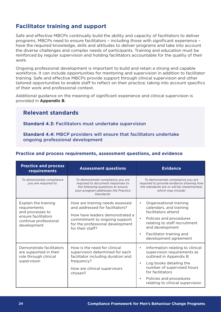## **Facilitator training and support**

Safe and effective MBCPs continually build the ability and capacity of facilitators to deliver programs. MBCPs need to ensure facilitators – including those with significant experience – have the required knowledge, skills and attitudes to deliver programs and take into account the diverse challenges and complex needs of participants. Training and education must be reinforced by regular supervision and holding facilitators accountable for the quality of their work.

Ongoing professional development is important to build and retain a strong and capable workforce. It can include opportunities for mentoring and supervision in addition to facilitator training. Safe and effective MBCPs provide support through clinical supervision and other tailored opportunities to enable staff to reflect on their practice; taking into account specifics of their work and professional context.

Additional guidance on the meaning of significant experience and clinical supervision is provided in **Appendix B**.

## **Relevant standards**

#### **Standard 4.3:** Facilitators must undertake supervision

**Standard 4.4:** MBCP providers will ensure that facilitators undertake ongoing professional development

| <b>Practice and process</b><br>requirements                                                                             | <b>Assessment questions</b>                                                                                                                                                                    | <b>Evidence</b>                                                                                                                                                                                                                         |
|-------------------------------------------------------------------------------------------------------------------------|------------------------------------------------------------------------------------------------------------------------------------------------------------------------------------------------|-----------------------------------------------------------------------------------------------------------------------------------------------------------------------------------------------------------------------------------------|
| To demonstrate compliance<br>you are required to:                                                                       | To demonstrate compliance you are<br>required to document responses to<br>the following questions to ensure<br>your program addresses the Practice<br>Standards:                               | To demonstrate compliance you are<br>required to provide evidence showing how<br>the standards are or will be implemented,<br>which may include:                                                                                        |
| Explain the training<br>requirements<br>and processes to<br>ensure facilitators<br>continue professional<br>development | How are training needs assessed<br>and addressed for facilitators?<br>How have leaders demonstrated a<br>commitment to ongoing support<br>for the professional development<br>for their staff? | Organisational training<br>$\bullet$<br>calendars, and training<br>facilitators attend<br>Policies and procedures<br>$\bullet$<br>relating to staff recruitment<br>and development<br>Facilitator training and<br>development agreement |
| Demonstrate facilitators<br>are supported in their<br>role through clinical<br>supervision                              | How is the need for clinical<br>supervision determined for each<br>facilitator including duration and<br>frequency?<br>How are clinical supervisors<br>chosen?                                 | Information relating to clinical<br>supervision requirements as<br>outlined in Appendix B<br>Log books detailing the<br>number of supervised hours<br>for facilitators<br>Policies and procedures<br>relating to clinical supervision   |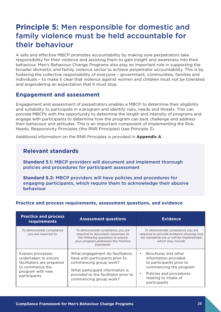## **Principle 5:** Men responsible for domestic and family violence must be held accountable for their behaviour

A safe and effective MBCP promotes accountability by making sure perpetrators take responsibility for their violence and assisting them to gain insight and awareness into their behaviour. Men's Behaviour Change Programs also play an important role in supporting the broader domestic and family violence sector to achieve perpetrator accountability. This is by fostering the collective responsibility of everyone – government, communities, families and individuals – to make it clear that violence against women and children must not be tolerated and engendering an expectation that it must stop.

## **Engagement and assessment**

Engagement and assessment of perpetrators enables a MBCP to determine their eligibility and suitability to participate in a program and identify risks, needs and threats. This can provide MBCPs with the opportunity to determine the length and intensity of programs and engage with participants to determine how the program can best challenge and address their behaviour and attitudes. This is an important component of implementing the Risk, Needs, Responsivity Principles (the RNR Principles) (see Principle 3).

Additional information on the RNR Principles is provided in **Appendix A**.

## **Relevant standards**

**Standard 5.1:** MBCP providers will document and implement thorough policies and procedures for participant assessment

**Standard 5.2:** MBCP providers will have policies and procedures for engaging participants, which require them to acknowledge their abusive behaviour

| <b>Practice and process</b><br>requirements                                                                                   | <b>Assessment questions</b>                                                                                                                                                                       | <b>Evidence</b>                                                                                                                                                       |
|-------------------------------------------------------------------------------------------------------------------------------|---------------------------------------------------------------------------------------------------------------------------------------------------------------------------------------------------|-----------------------------------------------------------------------------------------------------------------------------------------------------------------------|
| To demonstrate compliance<br>you are required to:                                                                             | To demonstrate compliance you are<br>required to document responses to<br>the following questions to ensure<br>your program addresses the Practice<br>Standards:                                  | To demonstrate compliance you are<br>required to provide evidence showing how<br>the standards are or will be implemented.<br>which may include:                      |
| Explain processes<br>undertaken to ensure<br>facilitators are prepared<br>to commence the<br>program with new<br>participants | What engagement do facilitators<br>have with participants prior to<br>commencing group work?<br>What participant information is<br>provided to the facilitator prior to<br>commencing group work? | Brochures and other<br>information provided<br>to participants prior to<br>commencing the program<br>Policies and procedures<br>relating to intake of<br>participants |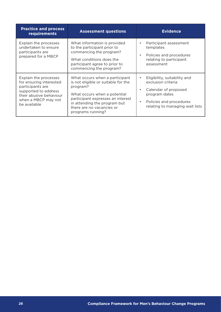| <b>Practice and process</b><br><b>requirements</b>                                                                                                             | <b>Assessment questions</b>                                                                                                                                                                                                              | <b>Evidence</b>                                                                                                                                           |
|----------------------------------------------------------------------------------------------------------------------------------------------------------------|------------------------------------------------------------------------------------------------------------------------------------------------------------------------------------------------------------------------------------------|-----------------------------------------------------------------------------------------------------------------------------------------------------------|
| Explain the processes<br>undertaken to ensure<br>participants are<br>prepared for a MBCP                                                                       | What information is provided<br>to the participant prior to<br>commencing the program?<br>What conditions does the<br>participant agree to prior to<br>commencing the program?                                                           | Participant assessment<br>templates<br>Policies and procedures<br>relating to participant<br>assessment                                                   |
| Explain the processes<br>for ensuring interested<br>participants are<br>supported to address<br>their abusive behaviour<br>when a MBCP may not<br>be available | What occurs when a participant<br>is not eligible or suitable for the<br>program?<br>What occurs when a potential<br>participant expresses an interest<br>in attending the program but<br>there are no vacancies or<br>programs running? | Eligibility, suitability and<br>exclusion criteria<br>Calendar of proposed<br>program dates<br>Policies and procedures<br>relating to managing wait lists |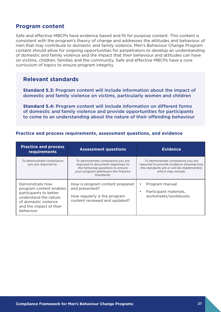## **Program content**

Safe and effective MBCPs have evidence based and fit for purpose content. This content is consistent with the program's theory of change and addresses the attitudes and behaviour of men that may contribute to domestic and family violence. Men's Behaviour Change Program content should allow for ongoing opportunities for perpetrators to develop an understanding of domestic and family violence and the impact that their behaviour and attitudes can have on victims, children, families and the community. Safe and effective MBCPs have a core curriculum of topics to ensure program integrity.

## **Relevant standards**

**Standard 5.3:** Program content will include information about the impact of domestic and family violence on victims, particularly women and children

**Standard 5.4:** Program content will include information on different forms of domestic and family violence and provide opportunities for participants to come to an understanding about the nature of their offending behaviour

| <b>Practice and process</b><br><b>requirements</b>                                                                                                            | <b>Assessment questions</b>                                                                                                                                      | <b>Evidence</b>                                                                                                                                  |
|---------------------------------------------------------------------------------------------------------------------------------------------------------------|------------------------------------------------------------------------------------------------------------------------------------------------------------------|--------------------------------------------------------------------------------------------------------------------------------------------------|
| To demonstrate compliance<br>you are required to:                                                                                                             | To demonstrate compliance you are<br>required to document responses to<br>the following questions to ensure<br>your program addresses the Practice<br>Standards: | To demonstrate compliance you are<br>required to provide evidence showing how<br>the standards are or will be implemented.<br>which may include: |
| Demonstrate how<br>program content enables<br>participants to better<br>understand the nature<br>of domestic violence<br>and the impact of their<br>behaviour | How is program content prepared<br>and presented?<br>How regularly is the program<br>content reviewed and updated?                                               | Program manual<br>Participant materials,<br>worksheets/workbooks                                                                                 |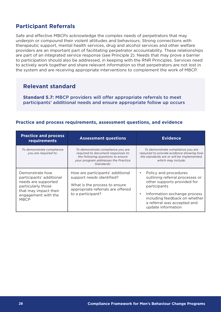## **Participant Referrals**

Safe and effective MBCPs acknowledge the complex needs of perpetrators that may underpin or compound their violent attitudes and behaviours. Strong connections with therapeutic support, mental health services, drug and alcohol services and other welfare providers are an important part of facilitating perpetrator accountability. These relationships are part of an integrated service response (see Principle 2). Needs that may prove a barrier to participation should also be addressed, in keeping with the RNR Principles. Services need to actively work together and share relevant information so that perpetrators are not lost in the system and are receiving appropriate interventions to complement the work of MBCP.

## **Relevant standard**

**Standard 5.7:** MBCP providers will offer appropriate referrals to meet participants' additional needs and ensure appropriate follow up occurs

| <b>Practice and process</b><br><b>requirements</b>                                                                                                      | <b>Assessment questions</b>                                                                                                                                      | <b>Evidence</b>                                                                                                                                                                                                               |
|---------------------------------------------------------------------------------------------------------------------------------------------------------|------------------------------------------------------------------------------------------------------------------------------------------------------------------|-------------------------------------------------------------------------------------------------------------------------------------------------------------------------------------------------------------------------------|
| To demonstrate compliance<br>you are required to:                                                                                                       | To demonstrate compliance you are<br>required to document responses to<br>the following questions to ensure<br>your program addresses the Practice<br>Standards: | To demonstrate compliance you are<br>required to provide evidence showing how<br>the standards are or will be implemented.<br>which may include:                                                                              |
| Demonstrate how<br>participants' additional<br>needs are supported<br>particularly those<br>that may impact their<br>engagement with the<br><b>MBCP</b> | How are participants' additional<br>support needs identified?<br>What is the process to ensure<br>appropriate referrals are offered<br>to a participant?         | Policy and procedures<br>outlining referral processes or<br>other supports provided for<br>participants<br>Information exchange process<br>including feedback on whether<br>a referral was accepted and<br>update information |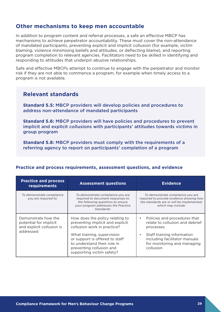## **Other mechanisms to keep men accountable**

In addition to program content and referral processes, a safe an effective MBCP has mechanisms to achieve perpetrator accountability. These must cover the non-attendance of mandated participants, preventing explicit and implicit collusion (for example, victim blaming, violence minimising beliefs and attitudes, or deflecting blame), and reporting program completion to relevant agencies. Facilitators need to be skilled in identifying and responding to attitudes that underpin abusive relationships.

Safe and effective MBCPs attempt to continue to engage with the perpetrator and monitor risk if they are not able to commence a program, for example when timely access to a program is not available.

### **Relevant standards**

**Standard 5.5:** MBCP providers will develop policies and procedures to address non-attendance of mandated participants

**Standard 5.6:** MBCP providers will have policies and procedures to prevent implicit and explicit collusions with participants' attitudes towards victims in group program

**Standard 5.8:** MBCP providers must comply with the requirements of a referring agency to report on participants' completion of a program

| <b>Practice and process</b><br><b>requirements</b>                                      | <b>Assessment questions</b>                                                                                                                                                                                                                                | <b>Evidence</b>                                                                                                                                                                         |
|-----------------------------------------------------------------------------------------|------------------------------------------------------------------------------------------------------------------------------------------------------------------------------------------------------------------------------------------------------------|-----------------------------------------------------------------------------------------------------------------------------------------------------------------------------------------|
| To demonstrate compliance<br>you are required to:                                       | To demonstrate compliance you are<br>required to document responses to<br>the following questions to ensure<br>your program addresses the Practice<br>Standards:                                                                                           | To demonstrate compliance you are<br>required to provide evidence showing how<br>the standards are or will be implemented.<br>which may include:                                        |
| Demonstrate how the<br>potential for implicit<br>and explicit collusion is<br>addressed | How does the policy relating to<br>preventing implicit and explicit<br>collusion work in practice?<br>What training, supervision<br>or support is offered to staff<br>to understand their role in<br>preventing collusion and<br>supporting victim safety? | Policies and procedures that<br>relate to collusion and debrief<br>processes<br>Staff training information<br>including facilitator manuals<br>for monitoring and managing<br>collusion |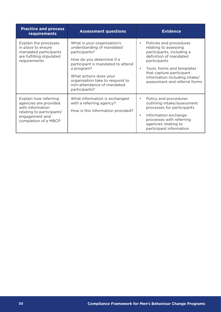| <b>Practice and process</b><br>requirements                                                                                               | <b>Assessment questions</b>                                                                                                                                                                                                                                           | <b>Evidence</b>                                                                                                                                                                                                                                     |
|-------------------------------------------------------------------------------------------------------------------------------------------|-----------------------------------------------------------------------------------------------------------------------------------------------------------------------------------------------------------------------------------------------------------------------|-----------------------------------------------------------------------------------------------------------------------------------------------------------------------------------------------------------------------------------------------------|
| Explain the processes<br>in place to ensure<br>mandated participants<br>are fulfilling stipulated<br>requirements                         | What is your organisation's<br>understanding of mandated<br>participants?<br>How do you determine if a<br>participant is mandated to attend<br>a program?<br>What actions does your<br>organisation take to respond to<br>non-attendance of mandated<br>participants? | Policies and procedures<br>relating to assessing<br>participants, including a<br>definition of mandated<br>participants<br>Tools, forms and templates<br>that capture participant<br>information including intake/<br>assessment and referral forms |
| Explain how referring<br>agencies are provided<br>with information<br>relating to participants'<br>engagement and<br>completion of a MBCP | What information is exchanged<br>with a referring agency?<br>How is this information provided?                                                                                                                                                                        | Policy and procedures<br>outlining intake/assessment<br>processes for participants<br>Information exchange<br>$\bullet$<br>processes with referring<br>agencies relating to<br>participant information                                              |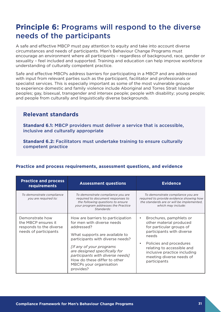## **Principle 6:** Programs will respond to the diverse needs of the participants

A safe and effective MBCP must pay attention to equity and take into account diverse circumstances and needs of participants. Men's Behaviour Change Programs must encourage an environment where all participants – regardless of background, race, gender or sexuality – feel included and supported. Training and education can help improve workforce understanding of culturally competent practice.

Safe and effective MBCPs address barriers for participating in a MBCP and are addressed with input from relevant parties such as the participant, facilitator and professionals or specialist services. This is especially important as some of the most vulnerable groups to experience domestic and family violence include Aboriginal and Torres Strait Islander peoples; gay, bisexual, transgender and intersex people; people with disability; young people; and people from culturally and linguistically diverse backgrounds.

## **Relevant standards**

**Standard 6.1:** MBCP providers must deliver a service that is accessible, inclusive and culturally appropriate

**Standard 6.2:** Facilitators must undertake training to ensure culturally competent practice

| <b>Practice and process</b><br><b>requirements</b>                                         | <b>Assessment questions</b>                                                                                                                                                                                                                                                                                                   | <b>Evidence</b>                                                                                                                                                                                                                                           |
|--------------------------------------------------------------------------------------------|-------------------------------------------------------------------------------------------------------------------------------------------------------------------------------------------------------------------------------------------------------------------------------------------------------------------------------|-----------------------------------------------------------------------------------------------------------------------------------------------------------------------------------------------------------------------------------------------------------|
| To demonstrate compliance<br>you are required to:                                          | To demonstrate compliance you are<br>required to document responses to<br>the following questions to ensure<br>your program addresses the Practice<br>Standards:                                                                                                                                                              | To demonstrate compliance you are<br>required to provide evidence showing how<br>the standards are or will be implemented,<br>which may include:                                                                                                          |
| Demonstrate how<br>the MBCP ensures it<br>responds to the diverse<br>needs of participants | How are barriers to participation<br>for men with diverse needs<br>addressed?<br>What supports are available to<br>participants with diverse needs?<br>[If any of your programs]<br>are designed specifically for<br>participants with diverse needs]<br>How do these differ to other<br>MBCPs your organisation<br>provides? | Brochures, pamphlets or<br>other material produced<br>for particular groups of<br>participants with diverse<br>needs<br>Policies and procedures<br>relating to accessible and<br>inclusive practice including<br>meeting diverse needs of<br>participants |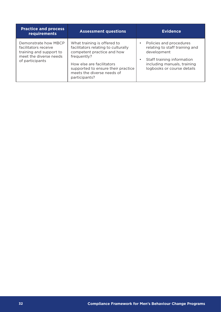| <b>Practice and process</b><br><b>requirements</b>                                                                   | <b>Assessment questions</b>                                                                                                                                                                                                       | <b>Evidence</b>                                                                                                                                                     |
|----------------------------------------------------------------------------------------------------------------------|-----------------------------------------------------------------------------------------------------------------------------------------------------------------------------------------------------------------------------------|---------------------------------------------------------------------------------------------------------------------------------------------------------------------|
| Demonstrate how MBCP<br>facilitators receive<br>training and support to<br>meet the diverse needs<br>of participants | What training is offered to<br>facilitators relating to culturally<br>competent practice and how<br>frequently?<br>How else are facilitators<br>supported to ensure their practice<br>meets the diverse needs of<br>participants? | Policies and procedures<br>relating to staff training and<br>development<br>Staff training information<br>including manuals, training<br>logbooks or course details |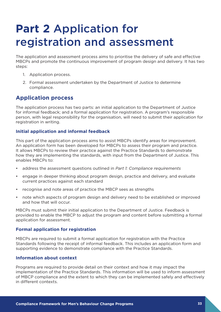# **Part 2** Application for registration and assessment

The application and assessment process aims to prioritise the delivery of safe and effective MBCPs and promote the continuous improvement of program design and delivery. It has two steps:

- 1. Application process.
- 2. Formal assessment undertaken by the Department of Justice to determine compliance.

## **Application process**

The application process has two parts: an initial application to the Department of Justice for informal feedback; and a formal application for registration. A program's responsible person, with legal responsibility for the organisation, will need to submit their application for registration in writing.

#### **Initial application and informal feedback**

This part of the application process aims to assist MBCPs identify areas for improvement. An application form has been developed for MBCPs to assess their program and practice. It allows MBCPs to review their practice against the Practice Standards to demonstrate how they are implementing the standards, with input from the Department of Justice. This enables MBCPs to:

- address the assessment questions outlined in *Part 1: Compliance requirements*
- engage in deeper thinking about program design, practice and delivery, and evaluate current practices against each standard
- recognise and note areas of practice the MBCP sees as strengths
- note which aspects of program design and delivery need to be established or improved and how that will occur.

MBCPs must submit their initial application to the Department of Justice. Feedback is provided to enable the MBCP to adjust the program and content before submitting a formal application for assessment.

#### **Formal application for registration**

MBCPs are required to submit a formal application for registration with the Practice Standards following the receipt of informal feedback. This includes an application form and supporting evidence to demonstrate compliance with the Practice Standards.

#### **Information about context**

Programs are required to provide detail on their context and how it may impact the implementation of the Practice Standards. This information will be used to inform assessment of MBCP compliance and the extent to which they can be implemented safely and effectively in different contexts.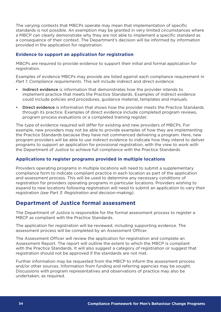The varying contexts that MBCPs operate may mean that implementation of specific standards is not possible. An exemption may be granted in very limited circumstances where a MBCP can clearly demonstrate why they are not able to implement a specific standard as a consequence of their context. The Department's decision will be informed by information provided in the application for registration.

#### **Evidence to support an application for registration**

MBCPs are required to provide evidence to support their initial and formal application for registration.

Examples of evidence MBCPs may provide are listed against each compliance requirement in *Part 1: Compliance requirements.* This will include indirect and direct evidence:

- Indirect evidence is information that demonstrates how the provider intends to implement practice that meets the Practice Standards. Examples of indirect evidence could include policies and procedures, guidance material, templates and manuals.
- Direct evidence is information that shows how the provider meets the Practice Standards through its practice. Examples of direct evidence include completed program reviews, program process evaluations or a completed training register.

The type of evidence required will differ for existing and new providers of MBCPs. For example, new providers may not be able to provide examples of how they are implementing the Practice Standards because they have not commenced delivering a program. Here, new program providers will be able to use indirect evidence to indicate how they intend to deliver programs to support an application for provisional registration, with the view to work with the Department of Justice to achieve full compliance with the Practice Standards.

#### **Applications to register programs provided in multiple locations**

Providers operating programs in multiple locations will need to submit a supplementary compliance form to indicate compliant practice in each location as part of the application and assessment process. This will be used to determine any necessary conditions of registration for providers operating programs in particular locations. Providers wishing to expand to new locations following registration will need to submit an application to vary their registration *(see Part 3: Registration and decision-making)*.

## **Department of Justice formal assessment**

The Department of Justice is responsible for the formal assessment process to register a MBCP as compliant with the Practice Standards.

The application for registration will be reviewed, including supporting evidence. The assessment process will be completed by an Assessment Officer.

The Assessment Officer will review the application for registration and complete an Assessment Report. The report will outline the extent to which the MBCP is compliant with the Practice Standards. It will also suggest a category of registration or suggest that registration should not be approved if the standards are not met.

Further information may be requested from the MBCP to inform the assessment process and/or other sources. Information from funding and referring agencies may be sought. Discussions with program representatives and observations of practice may also be undertaken, as required.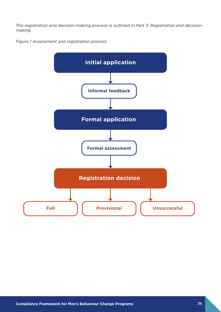The registration and decision making process is outlined in *Part 3: Registration and decisionmaking.*



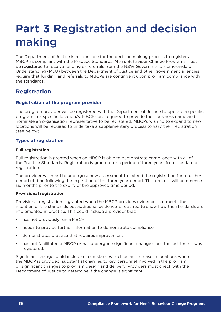# **Part 3** Registration and decision making

The Department of Justice is responsible for the decision making process to register a MBCP as compliant with the Practice Standards. Men's Behaviour Change Programs must be registered to receive funding or referrals from the NSW Government. Memoranda of Understanding (MoU) between the Department of Justice and other government agencies require that funding and referrals to MBCPs are contingent upon program compliance with the standards.

## **Registration**

#### **Registration of the program provider**

The program provider will be registered with the Department of Justice to operate a specific program in a specific location/s. MBCPs are required to provide their business name and nominate an organisation representative to be registered. MBCPs wishing to expand to new locations will be required to undertake a supplementary process to vary their registration (see below).

#### **Types of registration**

#### **Full registration**

Full registration is granted when an MBCP is able to demonstrate compliance with all of the Practice Standards. Registration is granted for a period of three years from the date of registration.

The provider will need to undergo a new assessment to extend the registration for a further period of time following the expiration of the three year period. This process will commence six months prior to the expiry of the approved time period.

#### **Provisional registration**

Provisional registration is granted when the MBCP provides evidence that meets the intention of the standards but additional evidence is required to show how the standards are implemented in practice. This could include a provider that:

- has not previously run a MBCP
- needs to provide further information to demonstrate compliance
- demonstrates practice that requires improvement
- has not facilitated a MBCP or has undergone significant change since the last time it was registered.

Significant change could include circumstances such as an increase in locations where the MBCP is provided, substantial changes to key personnel involved in the program, or significant changes to program design and delivery. Providers must check with the Department of Justice to determine if the change is significant.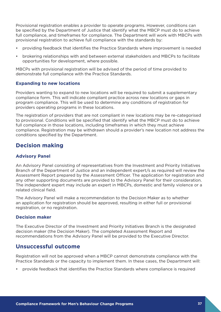Provisional registration enables a provider to operate programs. However, conditions can be specified by the Department of Justice that identify what the MBCP must do to achieve full compliance, and timeframes for compliance. The Department will work with MBCPs with provisional registration to achieve full compliance with the standards by:

- providing feedback that identifies the Practice Standards where improvement is needed
- brokering relationships with and between external stakeholders and MBCPs to facilitate opportunities for development, where possible.

MBCPs with provisional registration will be advised of the period of time provided to demonstrate full compliance with the Practice Standards.

#### **Expanding to new locations**

Providers wanting to expand to new locations will be required to submit a supplementary compliance form. This will indicate compliant practice across new locations or gaps in program compliance. This will be used to determine any conditions of registration for providers operating programs in these locations.

The registration of providers that are not compliant in new locations may be re-categorised to provisional. Conditions will be specified that identify what the MBCP must do to achieve full compliance in those locations, including timeframes in which they must achieve compliance. Registration may be withdrawn should a provider's new location not address the conditions specified by the Department.

## **Decision making**

#### **Advisory Panel**

An Advisory Panel consisting of representatives from the Investment and Priority Initiatives Branch of the Department of Justice and an independent expert/s as required will review the Assessment Report prepared by the Assessment Officer. The application for registration and any other supporting documents are provided to the Advisory Panel for their consideration. The independent expert may include an expert in MBCPs, domestic and family violence or a related clinical field.

The Advisory Panel will make a recommendation to the Decision Maker as to whether an application for registration should be approved, resulting in either full or provisional registration, or no registration.

#### **Decision maker**

The Executive Director of the Investment and Priority Initiatives Branch is the designated decision maker (the Decision Maker). The completed Assessment Report and recommendations from the Advisory Panel will be provided to the Executive Director.

## **Unsuccessful outcome**

Registration will not be approved when a MBCP cannot demonstrate compliance with the Practice Standards or the capacity to implement them. In these cases, the Department will:

• provide feedback that identifies the Practice Standards where compliance is required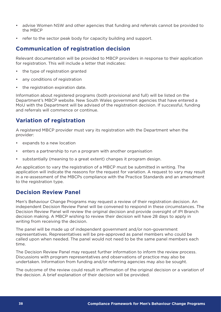- advise Women NSW and other agencies that funding and referrals cannot be provided to the MBCP
- refer to the sector peak body for capacity building and support.

## **Communication of registration decision**

Relevant documentation will be provided to MBCP providers in response to their application for registration. This will include a letter that indicates:

- the type of registration granted
- any conditions of registration
- the registration expiration date.

Information about registered programs (both provisional and full) will be listed on the Department's MBCP website. New South Wales government agencies that have entered a MoU with the Department will be advised of the registration decision. If successful, funding and referrals will commence or continue.

## **Variation of registration**

A registered MBCP provider must vary its registration with the Department when the provider:

- expands to a new location
- enters a partnership to run a program with another organisation
- substantially (meaning to a great extent) changes it program design.

An application to vary the registration of a MBCP must be submitted in writing. The application will indicate the reasons for the request for variation. A request to vary may result in a re-assessment of the MBCPs compliance with the Practice Standards and an amendment to the registration type.

## **Decision Review Panel**

Men's Behaviour Change Programs may request a review of their registration decision. An independent Decision Review Panel will be convened to respond in these circumstances. The Decision Review Panel will review the original decision and provide oversight of IPI Branch decision making. A MBCP wishing to review their decision will have 28 days to apply in writing from receiving the decision.

The panel will be made up of independent government and/or non-government representatives. Representatives will be pre-approved as panel members who could be called upon when needed. The panel would not need to be the same panel members each time.

The Decision Review Panel may request further information to inform the review process. Discussions with program representatives and observations of practice may also be undertaken. Information from funding and/or referring agencies may also be sought.

The outcome of the review could result in affirmation of the original decision or a variation of the decision. A brief explanation of their decision will be provided.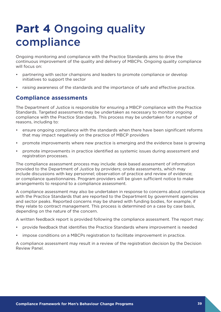# **Part 4** Ongoing quality compliance

Ongoing monitoring and compliance with the Practice Standards aims to drive the continuous improvement of the quality and delivery of MBCPs. Ongoing quality compliance will focus on:

- partnering with sector champions and leaders to promote compliance or develop initiatives to support the sector
- raising awareness of the standards and the importance of safe and effective practice.

## **Compliance assessments**

The Department of Justice is responsible for ensuring a MBCP compliance with the Practice Standards. Targeted assessments may be undertaken as necessary to monitor ongoing compliance with the Practice Standards. This process may be undertaken for a number of reasons, including to:

- ensure ongoing compliance with the standards when there have been significant reforms that may impact negatively on the practice of MBCP providers
- promote improvements where new practice is emerging and the evidence base is growing
- promote improvements in practice identified as systemic issues during assessment and registration processes.

The compliance assessment process may include: desk based assessment of information provided to the Department of Justice by providers; onsite assessments, which may include discussions with key personnel; observation of practice and review of evidence; or compliance questionnaires. Program providers will be given sufficient notice to make arrangements to respond to a compliance assessment.

A compliance assessment may also be undertaken in response to concerns about compliance with the Practice Standards that are reported to the Department by government agencies and sector peaks. Reported concerns may be shared with funding bodies, for example, if they relate to contract management. This process is determined on a case by case basis, depending on the nature of the concern.

A written feedback report is provided following the compliance assessment. The report may:

- provide feedback that identifies the Practice Standards where improvement is needed
- impose conditions on a MBCPs registration to facilitate improvement in practice.

A compliance assessment may result in a review of the registration decision by the Decision Review Panel.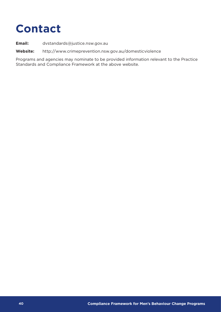## **Contact**

**Email:** dvstandards@justice.nsw.gov.au

**Website:** http://www.crimeprevention.nsw.gov.au/domesticviolence

Programs and agencies may nominate to be provided information relevant to the Practice Standards and Compliance Framework at the above website.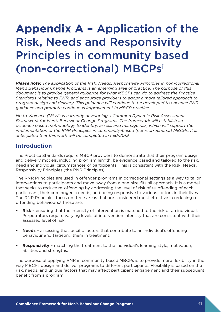# **Appendix A –** Application of the Risk, Needs and Responsivity Principles in community based (non-correctional) MBCPsi

*Please note: The application of the Risk, Needs, Responsivity Principles in non-correctional Men's Behaviour Change Programs is an emerging area of practice. The purpose of this document is to provide general guidance for what MBCPs can do to address the Practice Standards relating to RNR, and encourage providers to adopt a more tailored approach to program design and delivery. This guidance will continue to be developed to enhance RNR guidance and promote continuous improvement in MBCP practice.*

*No to Violence (NSW) is currently developing a Common Dynamic Risk Assessment Framework for Men's Behaviour Change Programs. The framework will establish an evidence based methodology to identify, assess and manage risk, which will support the implementation of the RNR Principles in community-based (non-correctional) MBCPs. It is anticipated that this work will be completed in mid-2019.*

## **Introduction**

The Practice Standards require MBCP providers to demonstrate that their program design and delivery models, including program length, be evidence based and tailored to the risk, need and individual circumstances of participants. This is consistent with the Risk, Needs, Responsivity Principles (the RNR Principles).

The RNR Principles are used in offender programs in correctional settings as a way to tailor interventions to participants and move away from a one-size-fits all approach. It is a model that seeks to reduce re-offending by addressing the level of risk of re-offending of each participant, their criminogenic needs, and being responsive to various factors in their lives. The RNR Principles focus on three areas that are considered most effective in reducing reoffending behaviours.<sup>ii</sup> These are:

- **• Risk** ensuring that the intensity of intervention is matched to the risk of an individual. Perpetrators require varying levels of intervention intensity that are consistent with their assessed level of risk.
- **• Needs**  assessing the specific factors that contribute to an individual's offending behaviour and targeting them in treatment.
- **• Responsivity**  matching the treatment to the individual's learning style, motivation, abilities and strengths.

The purpose of applying RNR in community based MBCPs is to provide more flexibility in the way MBCPs design and deliver programs to different participants. Flexibility is based on the risk, needs, and unique factors that may affect participant engagement and their subsequent benefit from a program.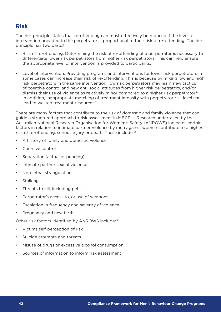## **Risk**

The risk principle states that re-offending can most effectively be reduced if the level of intervention provided to the perpetrator is proportional to their risk of re-offending. The risk principle has two parts:iii

- Risk of re-offending. Determining the risk of re-offending of a perpetrator is necessary to differentiate lower risk perpetrators from higher risk perpetrators. This can help ensure the appropriate level of intervention is provided to participants.
- Level of intervention. Providing programs and interventions for lower risk perpetrators in some cases can increase their risk of re-offending. This is because by mixing low and high risk perpetrators in the same intervention, low risk perpetrators may learn new tactics of coercive control and new anti-social attitudes from higher risk perpetrators, and/or dismiss their use of violence as relatively minor compared to a higher risk perpetrator.iv In addition, inappropriate matching of treatment intensity with perpetrator risk level can lead to wasted treatment resources.

There are many factors that contribute to the risk of domestic and family violence that can guide a structured approach to risk assessment in MBCPs.<sup>vi</sup> Research undertaken by the Australian National Research Organisation for Women's Safety (ANROWS) indicates certain factors in relation to intimate partner violence by men against women contribute to a higher risk of re-offending, serious injury or death. These include:viji

- A history of family and domestic violence
- Coercive control
- Separation (actual or pending)
- Intimate partner sexual violence
- Non-lethal strangulation
- Stalking
- Threats to kill, including pets
- Perpetrator's access to, or use of weapons
- Escalation in frequency and severity of violence
- Pregnancy and new birth.

Other risk factors identified by ANROWS include: viii

- Victims self-perception of risk
- Suicide attempts and threats
- Misuse of drugs or excessive alcohol consumption.
- Sources of information to inform risk assessment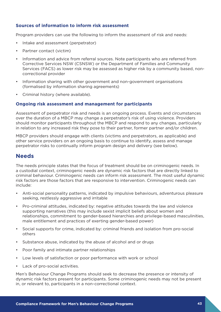#### **Sources of information to inform risk assessment**

Program providers can use the following to inform the assessment of risk and needs:

- Intake and assessment (perpetrator)
- Partner contact (victim)
- Information and advice from referral sources. Note participants who are referred from Corrective Services NSW (CSNSW) or the Department of Families and Community Services (FACS) as lower risk may be assessed as higher risk by a community based, noncorrectional provider
- Information sharing with other government and non-government organisations (formalised by information sharing agreements)
- Criminal history (where available).

#### **Ongoing risk assessment and management for participants**

Assessment of perpetrator risk and needs is an ongoing process. Events and circumstances over the duration of a MBCP may change a perpetrator's risk of using violence. Providers should monitor participants throughout the MBCP and respond to any changes, particularly in relation to any increased risk they pose to their partner, former partner and/or children.

MBCP providers should engage with clients (victims and perpetrators, as applicable) and other service providers on an ongoing basis to continue to identify, assess and manage perpetrator risks to continually inform program design and delivery (see below).

### **Needs**

The needs principle states that the focus of treatment should be on criminogenic needs. In a custodial context, criminogenic needs are dynamic risk factors that are directly linked to criminal behaviour. Criminogenic needs can inform risk assessment. The most useful dynamic risk factors are those factors that are responsive to intervention. Criminogenic needs can include:

- Anti-social personality patterns, indicated by impulsive behaviours, adventurous pleasure seeking, restlessly aggressive and irritable
- Pro-criminal attitudes, indicated by: negative attitudes towards the law and violence supporting narratives (this may include sexist implicit beliefs about women and relationships, commitment to gender-based hierarchies and privilege-based masculinities, male entitlement and practices of exerting gender-based power)
- Social supports for crime, indicated by: criminal friends and isolation from pro-social others
- Substance abuse, indicated by the abuse of alcohol and or drugs
- Poor family and intimate partner relationships
- Low levels of satisfaction or poor performance with work or school
- Lack of pro-social activities.

Men's Behaviour Change Programs should seek to decrease the presence or intensity of dynamic risk factors present for participants. Some criminogenic needs may not be present in, or relevant to, participants in a non-correctional context.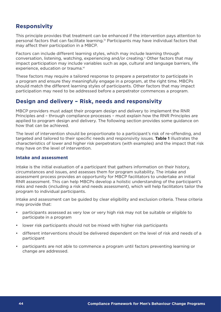## **Responsivity**

This principle provides that treatment can be enhanced if the intervention pays attention to personal factors that can facilitate learning.ix Participants may have individual factors that may affect their participation in a MBCP.

Factors can include different learning styles, which may include learning through conversation, listening, watching, experiencing and/or creating.<sup>x</sup> Other factors that may impact participation may include variables such as age, cultural and language barriers, life experience, education or trauma.<sup>xi</sup>

These factors may require a tailored response to prepare a perpetrator to participate in a program and ensure they meaningfully engage in a program, at the right time. MBCPs should match the different learning styles of participants. Other factors that may impact participation may need to be addressed before a perpetrator commences a program.

## **Design and delivery – Risk, needs and responsivity**

MBCP providers must adapt their program design and delivery to implement the RNR Principles and – through compliance processes – must explain how the RNR Principles are applied to program design and delivery. The following section provides some guidance on how that can be achieved.

The level of intervention should be proportionate to a participant's risk of re-offending, and targeted and tailored to their specific needs and responsivity issues. **Table 1** illustrates the characteristics of lower and higher risk perpetrators (with examples) and the impact that risk may have on the level of intervention.

#### **Intake and assessment**

Intake is the initial evaluation of a participant that gathers information on their history, circumstances and issues, and assesses them for program suitability. The intake and assessment process provides an opportunity for MBCP facilitators to undertake an initial RNR assessment. This can help MBCPs develop a holistic understanding of the participant's risks and needs (including a risk and needs assessment), which will help facilitators tailor the program to individual participants.

Intake and assessment can be guided by clear eligibility and exclusion criteria. These criteria may provide that:

- participants assessed as very low or very high risk may not be suitable or eligible to participate in a program
- lower risk participants should not be mixed with higher risk participants
- different interventions should be delivered dependent on the level of risk and needs of a participant
- participants are not able to commence a program until factors preventing learning or change are addressed.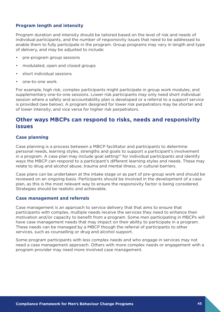#### **Program length and intensity**

Program duration and intensity should be tailored based on the level of risk and needs of individual participants, and the number of responsivity issues that need to be addressed to enable them to fully participate in the program. Group programs may vary in length and type of delivery, and may be adjusted to include:

- pre-program group sessions
- modulated, open and closed groups
- short individual sessions
- one-to-one work.

For example, high risk, complex participants might participate in group work modules, and supplementary one-to-one sessions. Lower risk participants may only need short individual session where a safety and accountability plan is developed or a referral to a support service is provided (see below). A program designed for lower risk perpetrators may be shorter and of lower intensity; and vice versa for higher risk perpetrators.

## **Other ways MBCPs can respond to risks, needs and responsivity issues**

#### **Case planning**

Case planning is a process between a MBCP facilitator and participants to determine personal needs, learning styles, strengths and goals to support a participant's involvement in a program. A case plan may include goal setting<sup>xii</sup> for individual participants and identify ways the MBCP can respond to a participant's different learning styles and needs. These may relate to drug and alcohol abuse, trauma and mental illness, or cultural barriers.

Case plans can be undertaken at the intake stage or as part of pre-group work and should be reviewed on an ongoing basis. Participants should be involved in the development of a case plan, as this is the most relevant way to ensure the responsivity factor is being considered. Strategies should be realistic and achievable.

#### **Case management and referrals**

Case management is an approach to service delivery that that aims to ensure that participants with complex, multiple needs receive the services they need to enhance their motivation and/or capacity to benefit from a program. Some men participating in MBCPs will have case management needs that may impact on their ability to participate in a program. These needs can be managed by a MBCP though the referral of participants to other services, such as counselling or drug and alcohol support.

Some program participants with less complex needs and who engage in services may not need a case management approach. Others with more complex needs or engagement with a program provider may need more involved case management.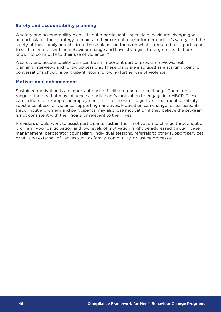#### **Safety and accountability planning**

A safety and accountability plan sets out a participant's specific behavioural change goals and articulates their strategy to maintain their current and/or former partner's safety, and the safety of their family and children. These plans can focus on what is required for a participant to sustain helpful shifts in behaviour change and have strategies to target risks that are known to contribute to their use of violence.<sup>xiii</sup>

A safety and accountability plan can be an important part of program reviews, exit planning interviews and follow up sessions. These plans are also used as a starting point for conversations should a participant return following further use of violence.

#### **Motivational enhancement**

Sustained motivation is an important part of facilitating behaviour change. There are a range of factors that may influence a participant's motivation to engage in a MBCP. These can include, for example, unemployment, mental illness or cognitive impairment, disability, substance abuse, or violence supporting narratives. Motivation can change for participants throughout a program and participants may also lose motivation if they believe the program is not consistent with their goals, or relevant to their lives.

Providers should work to assist participants sustain their motivation to change throughout a program. Poor participation and low levels of motivation might be addressed through case management, perpetrator counselling, individual sessions, referrals to other support services, or utilising external influences such as family, community, or justice processes.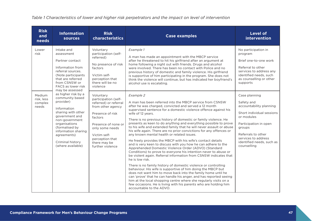*Table 1 Characteristics of lower and higher risk perpetrators and the impact on level of intervention*

| <b>Risk</b><br>and<br>needs              | <b>Information</b><br>sources                                                                                                                                                                                                                                                                                                                                                                                                               | <b>Risk</b><br><b>characteristics</b>                                                                                                                                                                                           | <b>Case examples</b>                                                                                                                                                                                                                                                                                                                                                                                                                                                                                                                                                                                                                                                                                                                                                                                                                                                                                                                                                                                                                                                                                                                                                                                                                                                                                                                                  | <b>Level of</b><br>intervention                                                                                                                                                                                               |
|------------------------------------------|---------------------------------------------------------------------------------------------------------------------------------------------------------------------------------------------------------------------------------------------------------------------------------------------------------------------------------------------------------------------------------------------------------------------------------------------|---------------------------------------------------------------------------------------------------------------------------------------------------------------------------------------------------------------------------------|-------------------------------------------------------------------------------------------------------------------------------------------------------------------------------------------------------------------------------------------------------------------------------------------------------------------------------------------------------------------------------------------------------------------------------------------------------------------------------------------------------------------------------------------------------------------------------------------------------------------------------------------------------------------------------------------------------------------------------------------------------------------------------------------------------------------------------------------------------------------------------------------------------------------------------------------------------------------------------------------------------------------------------------------------------------------------------------------------------------------------------------------------------------------------------------------------------------------------------------------------------------------------------------------------------------------------------------------------------|-------------------------------------------------------------------------------------------------------------------------------------------------------------------------------------------------------------------------------|
| Lower<br>risk                            | Intake and<br>assessment<br>Partner contact<br>Information from<br>referral sources.<br>(Note participants<br>that are referred<br>from CSNSW or<br>FACS as lower risk<br>may be assessed<br>as higher risk by a<br>community based<br>provider)<br>Information<br>sharing with other<br>government and<br>non-government<br>organisations<br>(formalised by<br>information sharing<br>agreements)<br>Criminal history<br>(where available) | Voluntary<br>participation (self-<br>referred)<br>No presence of risk<br>factors<br>Victim self-<br>perception that<br>there will be no<br>violence                                                                             | Example 1<br>A man has made an appointment with the MBCP service<br>after he threatened to hit his girlfriend after an argument at<br>home following a night out with friends. Drugs and alcohol<br>were involved. There has been no contact with Police and no<br>previous history of domestic and family violence. His girlfriend<br>is supportive of him participating in the program. She does not<br>think the violence will continue, but has indicated her boyfriend's<br>alcohol use is escalating.                                                                                                                                                                                                                                                                                                                                                                                                                                                                                                                                                                                                                                                                                                                                                                                                                                           | No participation in<br>program<br>Brief one-to-one work<br>Referral to other<br>services to address any<br>identified needs, such<br>as counselling or other<br>supports                                                      |
| Medium<br>risk, less<br>complex<br>needs |                                                                                                                                                                                                                                                                                                                                                                                                                                             | Voluntary<br>participation (self-<br>referred) or referral<br>from other agency<br>Presence of risk<br>factors<br>Presence of none or<br>only some needs<br>Victim self-<br>perception that<br>there may be<br>further violence | Example 2<br>A man has been referred into the MBCP service from CSNSW<br>after he was charged, convicted and served a 12 month<br>supervised sentence for a domestic violence offence against his<br>wife of 12 years.<br>There is no previous history of domestic or family violence. He<br>presents as keen to do anything and everything possible to prove<br>to his wife and extended family that he will never assault or abuse<br>his wife again. There are no prior convictions for any offences or<br>any known mental health or related issues.<br>He freely provides the MBCP with his wife's contact details<br>and is very keen to discuss with you how he can adhere to the<br>Apprehended Domestic Violence Order (ADVO) (Standard<br>Conditions) to prove to everyone his intention never to abuse or<br>be violent again. Referral information from CSNSW indicates that<br>he is low risk.<br>There is no family history of domestic violence or controlling<br>behaviour. His wife is supportive of him doing the MBCP but<br>does not want him to move back into the family home until he<br>can 'prove' that he can handle his anger, and has reported seeing<br>him at the local shopping centre where she regularly visits on a<br>few occasions. He is living with his parents who are holding him<br>accountable to the ADVO. | Case planning<br>Safety and<br>accountability planning<br>Short individual sessions<br>or modules<br>Participation in open<br>groups<br>Referrals to other<br>services to address<br>identified needs, such as<br>counselling |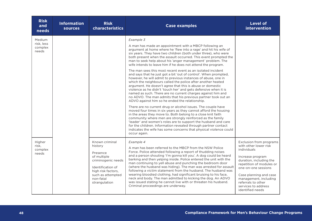| <b>Risk</b><br>and<br>needs              | <b>Information</b><br>sources | <b>Risk</b><br>characteristics                                                                                                                                           | <b>Case examples</b>                                                                                                                                                                                                                                                                                                                                                                                                                                                                                                                                                                                                                                                                                                                                                                                                                                                                                                                                                                                                                                                                                                                                                                                                                                                                                                                                                                                | <b>Level of</b><br>intervention                                                                                                                                                                                                                                                       |
|------------------------------------------|-------------------------------|--------------------------------------------------------------------------------------------------------------------------------------------------------------------------|-----------------------------------------------------------------------------------------------------------------------------------------------------------------------------------------------------------------------------------------------------------------------------------------------------------------------------------------------------------------------------------------------------------------------------------------------------------------------------------------------------------------------------------------------------------------------------------------------------------------------------------------------------------------------------------------------------------------------------------------------------------------------------------------------------------------------------------------------------------------------------------------------------------------------------------------------------------------------------------------------------------------------------------------------------------------------------------------------------------------------------------------------------------------------------------------------------------------------------------------------------------------------------------------------------------------------------------------------------------------------------------------------------|---------------------------------------------------------------------------------------------------------------------------------------------------------------------------------------------------------------------------------------------------------------------------------------|
| Medium<br>risk. less<br>complex<br>needs |                               |                                                                                                                                                                          | Example 3<br>A man has made an appointment with a MBCP following an<br>argument at home where he 'flew into a rage' and hit his wife of<br>six years. They have two children (both under three), who were<br>both present when the assault occurred. This event prompted the<br>man to seek help about his 'anger management' problem. The<br>wife intends to leave him if he does not attend the program.<br>The man sees this most recent event as an isolated incident<br>and says that he just got a bit 'out of control'. When prompted,<br>however, he will admit to previous instances of abuse, one in<br>which the neighbours called the police after another heated<br>argument. He doesn't agree that this is abuse or domestic<br>violence as he didn't 'touch her' and gets defensive when it is<br>named as such. There are no current charges against him and<br>no ADVO. The man admits that his previous partner took out an<br>ADVO against him so he ended the relationship.<br>There are no current drug or alcohol issues. The couple have<br>moved four times in six years as they cannot afford the housing<br>in the areas they move to. Both belong to a close knit faith<br>community where men are strongly reinforced as the family<br>'leader' and women's roles are to support the husband and care<br>for the children. Information revealed through partner contact |                                                                                                                                                                                                                                                                                       |
|                                          |                               |                                                                                                                                                                          | indicates the wife has some concerns that physical violence could<br>occur again.                                                                                                                                                                                                                                                                                                                                                                                                                                                                                                                                                                                                                                                                                                                                                                                                                                                                                                                                                                                                                                                                                                                                                                                                                                                                                                                   |                                                                                                                                                                                                                                                                                       |
| Higher<br>risk,<br>complex<br>needs      |                               | Known criminal<br>history<br>Presence<br>of multiple<br>criminogenic needs<br>Identification of<br>high risk factors.<br>such as attempted<br>non-fatal<br>strangulation | Example 4<br>A man has been referred to the MBCP from the NSW Police<br>Force. Police attended following a report of thudding noises<br>and a person shouting 'I'm gonna kill you'. A dog could be heard<br>barking and then yelping inside. Police entered the unit with the<br>man continuing to yell abuse and punching the bedroom door<br>(where the husband was hiding). The man was arrested for assault<br>following a victim statement from the husband. The husband was<br>wearing bloodied clothing, had significant bruising to his face,<br>neck and body. The man admitted to kicking the dog. An ADVO<br>was issued stating he cannot live with or threaten his husband.<br>Criminal proceedings are underway.                                                                                                                                                                                                                                                                                                                                                                                                                                                                                                                                                                                                                                                                       | Exclusion from programs<br>with other lower risk<br>individuals<br>Increase program<br>duration, including the<br>repetition of modules or<br>one-on-one sessions<br>Case planning and case<br>management, including<br>referrals to other<br>services to address<br>identified needs |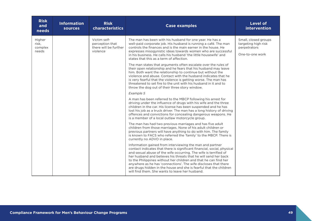| <b>Risk</b><br>and<br>needs         | <b>Information</b><br><b>sources</b> | <b>Risk</b><br>characteristics                                       | <b>Case examples</b>                                                                                                                                                                                                                                                                                                                                                                                                                                                                                                                       | <b>Level of</b><br>intervention                                                |
|-------------------------------------|--------------------------------------|----------------------------------------------------------------------|--------------------------------------------------------------------------------------------------------------------------------------------------------------------------------------------------------------------------------------------------------------------------------------------------------------------------------------------------------------------------------------------------------------------------------------------------------------------------------------------------------------------------------------------|--------------------------------------------------------------------------------|
| Higher<br>risk,<br>complex<br>needs |                                      | Victim self-<br>perception that<br>there will be further<br>violence | The man has been with his husband for one year. He has a<br>well-paid corporate job. His husband is running a café. The man<br>controls the finances and is the main earner in the house. He<br>expresses misogynistic ideas towards women who are successful<br>in his business. He calls his husband 'the little housewife' and<br>states that this as a term of affection.                                                                                                                                                              | Small, closed groups<br>targeting high risk<br>perpetrators<br>One-to-one work |
|                                     |                                      |                                                                      | The man states that arguments often escalate over the rules of<br>their open relationship and he fears that his husband may leave<br>him. Both want the relationship to continue but without the<br>violence and abuse. Contact with the husband indicates that he<br>is very fearful that the violence is getting worse. The man has<br>threatened to set fire to the unit with his husband in it and to<br>throw the dog out of their three story window.                                                                                |                                                                                |
|                                     |                                      |                                                                      | Example 5                                                                                                                                                                                                                                                                                                                                                                                                                                                                                                                                  |                                                                                |
|                                     |                                      |                                                                      | A man has been referred to the MBCP following his arrest for<br>driving under the influence of drugs with his wife and the three<br>children in the car. His license has been suspended and he has<br>lost his job as a truck driver. The man has a long history of driving<br>offences and convictions for concealing dangerous weapons. He<br>is a member of a local outlaw motorcycle group.                                                                                                                                            |                                                                                |
|                                     |                                      |                                                                      | The man has had two previous marriages and has five adult<br>children from those marriages. None of his adult children or<br>previous partners will have anything to do with him. The family<br>is known to FACS who referred the 'family' to the MBCP. There is<br>currently no ADVO in place.                                                                                                                                                                                                                                            |                                                                                |
|                                     |                                      |                                                                      | Information gained from interviewing the man and partner<br>contact indicates that there is significant financial, social, physical<br>and sexual abuse of the wife occurring. The wife is terrified of<br>her husband and believes his threats that he will send her back<br>to the Philippines without her children and that he can find her<br>anywhere as he has 'connections'. The wife discloses that there<br>are drugs hidden in the house and she is fearful that the children<br>will find them. She wants to leave her husband. |                                                                                |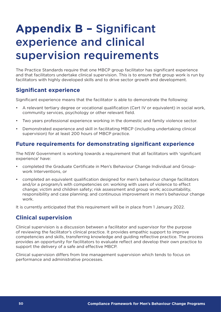# **Appendix B –** Significant experience and clinical supervision requirements

The Practice Standards require that one MBCP group facilitator has significant experience and that facilitators undertake clinical supervision. This is to ensure that group work is run by facilitators with highly developed skills and to drive sector growth and development.

## **Significant experience**

Significant experience means that the facilitator is able to demonstrate the following:

- A relevant tertiary degree or vocational qualification (Cert IV or equivalent) in social work, community services, psychology or other relevant field.
- Two years professional experience working in the domestic and family violence sector.
- Demonstrated experience and skill in facilitating MBCP (including undertaking clinical supervision) for at least 200 hours of MBCP practice.

## **Future requirements for demonstrating significant experience**

The NSW Government is working towards a requirement that all facilitators with 'significant experience' have:

- completed the Graduate Certificate in Men's Behaviour Change Individual and Groupwork Interventions, or
- completed an equivalent qualification designed for men's behaviour change facilitators and/or a program/s with competencies on: working with users of violence to effect change; victim and children safety; risk assessment and group work; accountability, responsibility and case planning; and continuous improvement in men's behaviour change work.

It is currently anticipated that this requirement will be in place from 1 January 2022.

## **Clinical supervision**

Clinical supervision is a discussion between a facilitator and supervisor for the purpose of reviewing the facilitator's clinical practice. It provides empathic support to improve competencies and skills, transferring knowledge and guiding reflective practice. The process provides an opportunity for facilitators to evaluate reflect and develop their own practice to support the delivery of a safe and effective MBCP.

Clinical supervision differs from line management supervision which tends to focus on performance and administrative processes.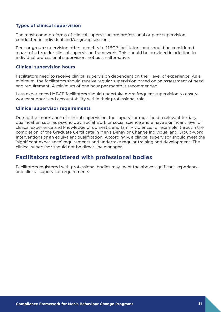#### **Types of clinical supervision**

The most common forms of clinical supervision are professional or peer supervision conducted in individual and/or group sessions.

Peer or group supervision offers benefits to MBCP facilitators and should be considered a part of a broader clinical supervision framework. This should be provided in addition to individual professional supervision, not as an alternative.

#### **Clinical supervision hours**

Facilitators need to receive clinical supervision dependent on their level of experience. As a minimum, the facilitators should receive regular supervision based on an assessment of need and requirement. A minimum of one hour per month is recommended.

Less experienced MBCP facilitators should undertake more frequent supervision to ensure worker support and accountability within their professional role.

#### **Clinical supervisor requirements**

Due to the importance of clinical supervision, the supervisor must hold a relevant tertiary qualification such as psychology, social work or social science and a have significant level of clinical experience and knowledge of domestic and family violence, for example, through the completion of the Graduate Certificate in Men's Behavior Change Individual and Group-work Interventions or an equivalent qualification. Accordingly, a clinical supervisor should meet the 'significant experience' requirements and undertake regular training and development. The clinical supervisor should not be direct line manager.

### **Facilitators registered with professional bodies**

Facilitators registered with professional bodies may meet the above significant experience and clinical supervisor requirements.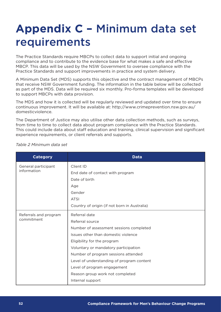# **Appendix C –** Minimum data set requirements

The Practice Standards require MBCPs to collect data to support initial and ongoing compliance and to contribute to the evidence base for what makes a safe and effective MBCP. This data will be used by the NSW Government to oversee compliance with the Practice Standards and support improvements in practice and system delivery.

A Minimum Data Set (MDS) supports this objective and the contract management of MBCPs that receive NSW Government funding. The information in the table below will be collected as part of the MDS. Data will be required six monthly. Pro-forma templates will be developed to support MBCPs with data provision.

The MDS and how it is collected will be regularly reviewed and updated over time to ensure continuous improvement. It will be available at: http://www.crimeprevention.nsw.gov.au/ domesticviolence.

The Department of Justice may also utilise other data collection methods, such as surveys, from time to time to collect data about program compliance with the Practice Standards. This could include data about staff education and training, clinical supervision and significant experience requirements, or client referrals and supports.

| <b>Category</b>                     | <b>Data</b>                                  |
|-------------------------------------|----------------------------------------------|
| General participant                 | Client ID                                    |
| information                         | End date of contact with program             |
|                                     | Date of birth                                |
|                                     | Age                                          |
|                                     | Gender                                       |
|                                     | <b>ATSI</b>                                  |
|                                     | Country of origin (if not born in Australia) |
| Referrals and program<br>commitment | Referral date                                |
|                                     | Referral source                              |
|                                     | Number of assessment sessions completed      |
|                                     | Issues other than domestic violence          |
|                                     | Eligibility for the program                  |
|                                     | Voluntary or mandatory participation         |
|                                     | Number of program sessions attended          |
|                                     | Level of understanding of program content    |
|                                     | Level of program engagement                  |
|                                     | Reason group work not completed              |
|                                     | Internal support                             |

#### *Table 2 Minimum data set*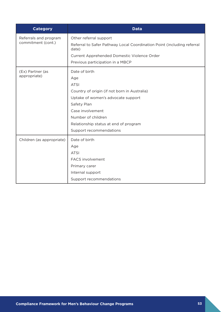| <b>Category</b>                             | <b>Data</b>                                                                     |
|---------------------------------------------|---------------------------------------------------------------------------------|
| Referrals and program<br>commitment (cont.) | Other referral support                                                          |
|                                             | Referral to Safer Pathway Local Coordination Point (including referral<br>date) |
|                                             | Current Apprehended Domestic Violence Order                                     |
|                                             | Previous participation in a MBCP                                                |
| (Ex) Partner (as                            | Date of birth                                                                   |
| appropriate)                                | Age                                                                             |
|                                             | <b>ATSI</b>                                                                     |
|                                             | Country of origin (if not born in Australia)                                    |
|                                             | Uptake of women's advocate support                                              |
|                                             | Safety Plan                                                                     |
|                                             | Case involvement                                                                |
|                                             | Number of children                                                              |
|                                             | Relationship status at end of program                                           |
|                                             | Support recommendations                                                         |
| Children (as appropriate)                   | Date of birth                                                                   |
|                                             | Age                                                                             |
|                                             | <b>ATSI</b>                                                                     |
|                                             | <b>FACS involvement</b>                                                         |
|                                             | Primary carer                                                                   |
|                                             | Internal support                                                                |
|                                             | Support recommendations                                                         |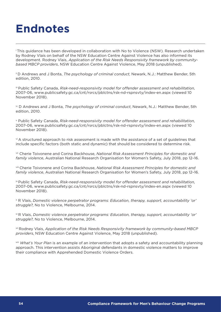## **Endnotes**

i This guidance has been developed in collaboration with No to Violence (NSW). Research undertaken by Rodney Vlais on behalf of the NSW Education Centre Against Violence has also informed its development. Rodney Vlais, *Application of the Risk Needs Responsivity framework by communitybased MBCP providers*, NSW Education Centre Against Violence, May 2018 (unpublished).

ii D Andrews and J Bonta, *The psychology of criminal conduct*, Newark, N.J.: Matthew Bender, 5th edition, 2010.

iii Public Safety Canada, *Risk-need-responsivity model for offender assessment and rehabilitation*, 2007-06, www.publicsafety.gc.ca/cnt/rsrcs/pblctns/rsk-nd-rspnsvty/index-en.aspx (viewed 10 November 2018).

iv D Andrews and J Bonta, *The psychology of criminal conduct*, Newark, N.J.: Matthew Bender, 5th edition, 2010.

v Public Safety Canada, *Risk-need-responsivity model for offender assessment and rehabilitation*, 2007-06, www.publicsafety.gc.ca/cnt/rsrcs/pblctns/rsk-nd-rspnsvty/index-en.aspx (viewed 10 November 2018).

vi A structured approach to risk assessment is made with the assistance of a set of guidelines that include specific factors (both static and dynamic) that should be considered to determine risk.

vii Cherie Toivonene and Corina Backhouse, *National Risk Assessment Principles for domestic and family violence*, Australian National Research Organisation for Women's Safety, July 2018, pp 12–16.

viii Cherie Toivonene and Corina Backhouse, *National Risk Assessment Principles for domestic and family violence*, Australian National Research Organisation for Women's Safety, July 2018, pp 12–16.

ix Public Safety Canada, *Risk-need-responsivity model for offender assessment and rehabilitation*, 2007-06, www.publicsafety.gc.ca/cnt/rsrcs/pblctns/rsk-nd-rspnsvty/index-en.aspx (viewed 10 November 2018).

x R Vlais, *Domestic violence perpetrator programs: Education, therapy, support, accountability 'or' struggle?*, No to Violence, Melbourne, 2014.

xi R Vlais, *Domestic violence perpetrator programs: Education, therapy, support, accountability 'or' struggle?*, No to Violence, Melbourne, 2014.

xii Rodney Vlais, *Application of the Risk Needs Responsivity framework by community-based MBCP providers*, NSW Education Centre Against Violence, May 2018 (unpublished).

xiii *What's Your Plan* is an example of an intervention that adopts a safety and accountability planning approach. This intervention assists Aboriginal defendants in domestic violence matters to improve their compliance with Apprehended Domestic Violence Orders.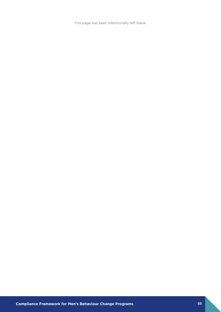This page has been intentionally left blank.